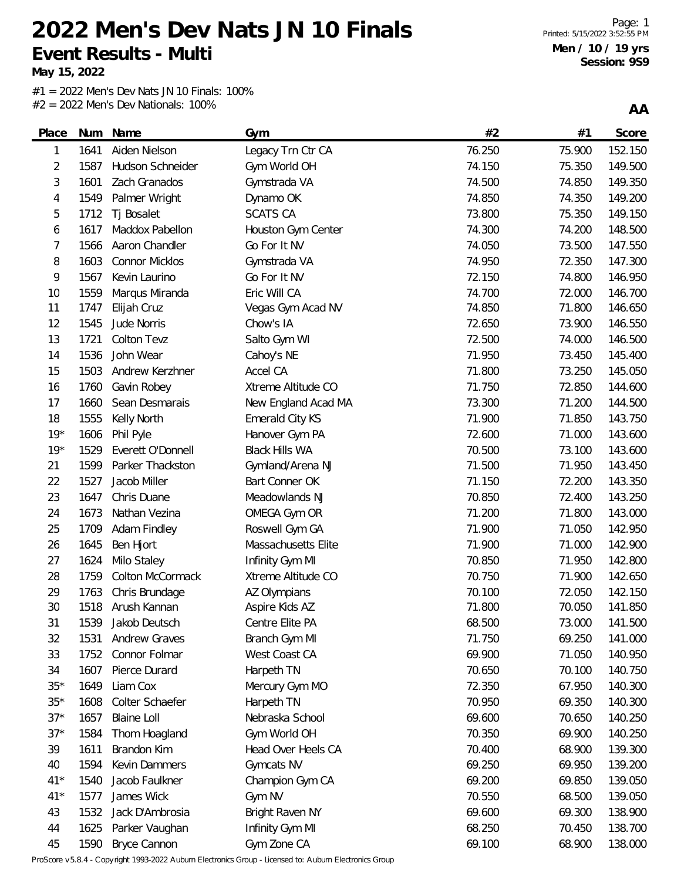**May 15, 2022**

 $#1 = 2022$  Men's Dev Nats JN 10 Finals: 100% #2 = 2022 Men's Dev Nationals: 100%

**AA**

| Place | Num  | Name                 | Gym                    | #2     | #1     | <b>Score</b> |
|-------|------|----------------------|------------------------|--------|--------|--------------|
| 1     | 1641 | Aiden Nielson        | Legacy Trn Ctr CA      | 76.250 | 75.900 | 152.150      |
| 2     | 1587 | Hudson Schneider     | Gym World OH           | 74.150 | 75.350 | 149.500      |
| 3     | 1601 | Zach Granados        | Gymstrada VA           | 74.500 | 74.850 | 149.350      |
| 4     | 1549 | Palmer Wright        | Dynamo OK              | 74.850 | 74.350 | 149.200      |
| 5     | 1712 | Tj Bosalet           | <b>SCATS CA</b>        | 73.800 | 75.350 | 149.150      |
| 6     | 1617 | Maddox Pabellon      | Houston Gym Center     | 74.300 | 74.200 | 148.500      |
| 7     | 1566 | Aaron Chandler       | Go For It NV           | 74.050 | 73.500 | 147.550      |
| 8     | 1603 | Connor Micklos       | Gymstrada VA           | 74.950 | 72.350 | 147.300      |
| 9     | 1567 | Kevin Laurino        | Go For It NV           | 72.150 | 74.800 | 146.950      |
| 10    | 1559 | Marqus Miranda       | Eric Will CA           | 74.700 | 72.000 | 146.700      |
| 11    | 1747 | Elijah Cruz          | Vegas Gym Acad NV      | 74.850 | 71.800 | 146.650      |
| 12    | 1545 | Jude Norris          | Chow's IA              | 72.650 | 73.900 | 146.550      |
| 13    | 1721 | <b>Colton Tevz</b>   | Salto Gym WI           | 72.500 | 74.000 | 146.500      |
| 14    | 1536 | John Wear            | Cahoy's NE             | 71.950 | 73.450 | 145.400      |
| 15    | 1503 | Andrew Kerzhner      | Accel CA               | 71.800 | 73.250 | 145.050      |
| 16    | 1760 | Gavin Robey          | Xtreme Altitude CO     | 71.750 | 72.850 | 144.600      |
| 17    | 1660 | Sean Desmarais       | New England Acad MA    | 73.300 | 71.200 | 144.500      |
| 18    | 1555 | Kelly North          | <b>Emerald City KS</b> | 71.900 | 71.850 | 143.750      |
| $19*$ | 1606 | Phil Pyle            | Hanover Gym PA         | 72.600 | 71.000 | 143.600      |
| $19*$ | 1529 | Everett O'Donnell    | <b>Black Hills WA</b>  | 70.500 | 73.100 | 143.600      |
| 21    | 1599 | Parker Thackston     | Gymland/Arena NJ       | 71.500 | 71.950 | 143.450      |
| 22    | 1527 | Jacob Miller         | Bart Conner OK         | 71.150 | 72.200 | 143.350      |
| 23    | 1647 | Chris Duane          | Meadowlands NJ         | 70.850 | 72.400 | 143.250      |
| 24    | 1673 | Nathan Vezina        | OMEGA Gym OR           | 71.200 | 71.800 | 143.000      |
| 25    | 1709 | Adam Findley         | Roswell Gym GA         | 71.900 | 71.050 | 142.950      |
| 26    | 1645 | Ben Hjort            | Massachusetts Elite    | 71.900 | 71.000 | 142.900      |
| 27    | 1624 | Milo Staley          | Infinity Gym MI        | 70.850 | 71.950 | 142.800      |
| 28    | 1759 | Colton McCormack     | Xtreme Altitude CO     | 70.750 | 71.900 | 142.650      |
| 29    | 1763 | Chris Brundage       | AZ Olympians           | 70.100 | 72.050 | 142.150      |
| 30    | 1518 | Arush Kannan         | Aspire Kids AZ         | 71.800 | 70.050 | 141.850      |
| 31    | 1539 | Jakob Deutsch        | Centre Elite PA        | 68.500 | 73.000 | 141.500      |
| 32    | 1531 | <b>Andrew Graves</b> | Branch Gym MI          | 71.750 | 69.250 | 141.000      |
| 33    | 1752 | Connor Folmar        | West Coast CA          | 69.900 | 71.050 | 140.950      |
| 34    | 1607 | Pierce Durard        | Harpeth TN             | 70.650 | 70.100 | 140.750      |
| $35*$ | 1649 | Liam Cox             | Mercury Gym MO         | 72.350 | 67.950 | 140.300      |
| $35*$ | 1608 | Colter Schaefer      | Harpeth TN             | 70.950 | 69.350 | 140.300      |
| $37*$ | 1657 | <b>Blaine Loll</b>   | Nebraska School        | 69.600 | 70.650 | 140.250      |
| $37*$ | 1584 | Thom Hoagland        | Gym World OH           | 70.350 | 69.900 | 140.250      |
| 39    | 1611 | Brandon Kim          | Head Over Heels CA     | 70.400 | 68.900 | 139.300      |
| 40    | 1594 | Kevin Dammers        | Gymcats NV             | 69.250 | 69.950 | 139.200      |
| $41*$ | 1540 | Jacob Faulkner       | Champion Gym CA        | 69.200 | 69.850 | 139.050      |
| $41*$ | 1577 | James Wick           | Gym NV                 | 70.550 | 68.500 | 139.050      |
| 43    |      | 1532 Jack D'Ambrosia | Bright Raven NY        | 69.600 | 69.300 | 138.900      |

44 1625 Parker Vaughan Infinity Gym MI 68.250 68.250 70.450 138.700 1590 Bryce Cannon Gym Zone CA 69.100 68.900 138.000

ProScore v5.8.4 - Copyright 1993-2022 Auburn Electronics Group - Licensed to: Auburn Electronics Group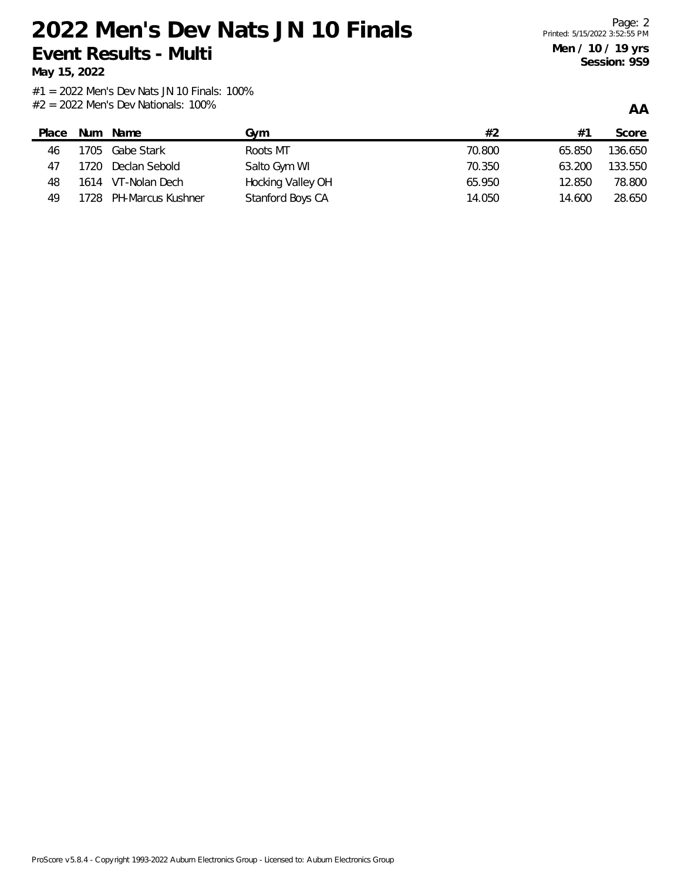**May 15, 2022**

**AA**

| Place | Num | Name                   | Gvm               | #2     | #1     | Score   |
|-------|-----|------------------------|-------------------|--------|--------|---------|
| 46    |     | 1705 Gabe Stark        | Roots MT          | 70.800 | 65.850 | 136.650 |
| 47    |     | 1720 Declan Sebold     | Salto Gym WI      | 70.350 | 63.200 | 133.550 |
| 48    |     | 1614 VT-Nolan Dech     | Hocking Valley OH | 65.950 | 12.850 | 78.800  |
| 49    |     | 1728 PH-Marcus Kushner | Stanford Boys CA  | 14.050 | 14.600 | 28.650  |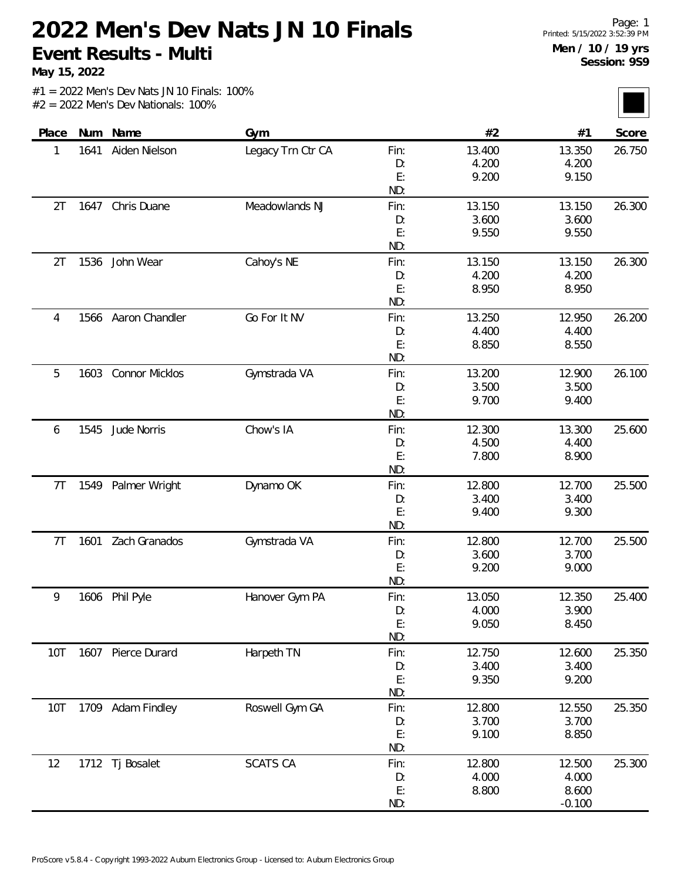**May 15, 2022**

| Place          |      | Num Name              | Gym               |           | #2              | #1              | Score  |
|----------------|------|-----------------------|-------------------|-----------|-----------------|-----------------|--------|
| 1              | 1641 | Aiden Nielson         | Legacy Trn Ctr CA | Fin:      | 13.400          | 13.350          | 26.750 |
|                |      |                       |                   | D:        | 4.200           | 4.200           |        |
|                |      |                       |                   | E:        | 9.200           | 9.150           |        |
|                |      |                       |                   | ND:       |                 |                 |        |
| 2T             |      | 1647 Chris Duane      | Meadowlands NJ    | Fin:      | 13.150          | 13.150          | 26.300 |
|                |      |                       |                   | D:        | 3.600           | 3.600           |        |
|                |      |                       |                   | E:        | 9.550           | 9.550           |        |
|                |      |                       |                   | ND:       |                 |                 |        |
| 2T             | 1536 | John Wear             | Cahoy's NE        | Fin:      | 13.150          | 13.150          | 26.300 |
|                |      |                       |                   | D:        | 4.200           | 4.200           |        |
|                |      |                       |                   | E:        | 8.950           | 8.950           |        |
|                |      |                       |                   | ND:       |                 |                 |        |
| 4              |      | 1566 Aaron Chandler   | Go For It NV      | Fin:      | 13.250          | 12.950          | 26.200 |
|                |      |                       |                   | D:        | 4.400           | 4.400           |        |
|                |      |                       |                   | E:        | 8.850           | 8.550           |        |
|                |      |                       |                   | ND:       |                 |                 |        |
| 5              | 1603 | <b>Connor Micklos</b> | Gymstrada VA      | Fin:      | 13.200          | 12.900          | 26.100 |
|                |      |                       |                   | D:        | 3.500           | 3.500           |        |
|                |      |                       |                   | E:        | 9.700           | 9.400           |        |
|                |      |                       |                   | ND:       |                 |                 |        |
| 6              | 1545 | Jude Norris           | Chow's IA         | Fin:      | 12.300          | 13.300          | 25.600 |
|                |      |                       |                   | D:        | 4.500           | 4.400           |        |
|                |      |                       |                   | E:        | 7.800           | 8.900           |        |
|                |      |                       |                   | ND:       |                 |                 |        |
| 7 <sub>T</sub> | 1549 | Palmer Wright         | Dynamo OK         | Fin:      | 12.800          | 12.700          | 25.500 |
|                |      |                       |                   | D:        | 3.400           | 3.400           |        |
|                |      |                       |                   | E:<br>ND: | 9.400           | 9.300           |        |
|                |      | Zach Granados         |                   |           |                 |                 | 25.500 |
| 7T             | 1601 |                       | Gymstrada VA      | Fin:      | 12.800<br>3.600 | 12.700<br>3.700 |        |
|                |      |                       |                   | D:<br>E:  | 9.200           | 9.000           |        |
|                |      |                       |                   | ND:       |                 |                 |        |
| 9              |      | 1606 Phil Pyle        | Hanover Gym PA    | Fin:      | 13.050          | 12.350          | 25.400 |
|                |      |                       |                   | D:        | 4.000           | 3.900           |        |
|                |      |                       |                   | E:        | 9.050           | 8.450           |        |
|                |      |                       |                   | ND:       |                 |                 |        |
| 10T            |      | 1607 Pierce Durard    | Harpeth TN        | Fin:      | 12.750          | 12.600          | 25.350 |
|                |      |                       |                   | D:        | 3.400           | 3.400           |        |
|                |      |                       |                   | E:        | 9.350           | 9.200           |        |
|                |      |                       |                   | ND:       |                 |                 |        |
| 10T            |      | 1709 Adam Findley     | Roswell Gym GA    | Fin:      | 12.800          | 12.550          | 25.350 |
|                |      |                       |                   | D:        | 3.700           | 3.700           |        |
|                |      |                       |                   | E:        | 9.100           | 8.850           |        |
|                |      |                       |                   | ND:       |                 |                 |        |
| 12             |      | 1712 Tj Bosalet       | <b>SCATS CA</b>   | Fin:      | 12.800          | 12.500          | 25.300 |
|                |      |                       |                   | D:        | 4.000           | 4.000           |        |
|                |      |                       |                   | E:        | 8.800           | 8.600           |        |
|                |      |                       |                   | ND:       |                 | $-0.100$        |        |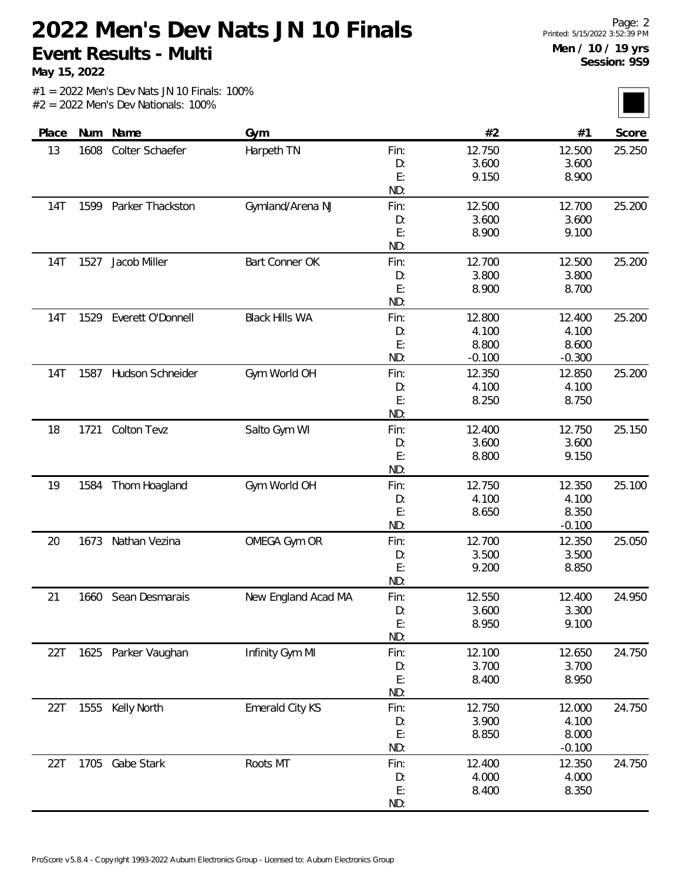**May 15, 2022**

| Place      |      | Num Name              | Gym                   |      | #2       | #1       | Score  |
|------------|------|-----------------------|-----------------------|------|----------|----------|--------|
| 13         | 1608 | Colter Schaefer       | Harpeth TN            | Fin: | 12.750   | 12.500   | 25.250 |
|            |      |                       |                       | D:   | 3.600    | 3.600    |        |
|            |      |                       |                       | E:   | 9.150    | 8.900    |        |
|            |      |                       |                       | ND:  |          |          |        |
| 14T        | 1599 | Parker Thackston      | Gymland/Arena NJ      | Fin: | 12.500   | 12.700   | 25.200 |
|            |      |                       |                       | D:   | 3.600    | 3.600    |        |
|            |      |                       |                       | E:   | 8.900    | 9.100    |        |
|            |      |                       |                       | ND:  |          |          |        |
| <b>14T</b> | 1527 | Jacob Miller          | Bart Conner OK        | Fin: | 12.700   | 12.500   | 25.200 |
|            |      |                       |                       | D:   | 3.800    | 3.800    |        |
|            |      |                       |                       | E:   | 8.900    | 8.700    |        |
|            |      |                       |                       | ND:  |          |          |        |
| 14T        | 1529 | Everett O'Donnell     | <b>Black Hills WA</b> | Fin: | 12.800   | 12.400   | 25.200 |
|            |      |                       |                       | D:   | 4.100    | 4.100    |        |
|            |      |                       |                       | E:   | 8.800    | 8.600    |        |
|            |      |                       |                       | ND:  | $-0.100$ | $-0.300$ |        |
| 14T        |      | 1587 Hudson Schneider | Gym World OH          | Fin: | 12.350   | 12.850   | 25.200 |
|            |      |                       |                       | D:   | 4.100    | 4.100    |        |
|            |      |                       |                       | E:   | 8.250    | 8.750    |        |
|            |      |                       |                       | ND:  |          |          |        |
| 18         | 1721 | <b>Colton Tevz</b>    | Salto Gym WI          | Fin: | 12.400   | 12.750   | 25.150 |
|            |      |                       |                       | D:   | 3.600    | 3.600    |        |
|            |      |                       |                       | E:   | 8.800    | 9.150    |        |
|            |      |                       |                       | ND:  |          |          |        |
| 19         | 1584 | Thom Hoagland         | Gym World OH          | Fin: | 12.750   | 12.350   | 25.100 |
|            |      |                       |                       | D:   | 4.100    | 4.100    |        |
|            |      |                       |                       | E:   | 8.650    | 8.350    |        |
|            |      |                       |                       | ND:  |          | $-0.100$ |        |
| 20         | 1673 | Nathan Vezina         | OMEGA Gym OR          | Fin: | 12.700   | 12.350   | 25.050 |
|            |      |                       |                       | D:   | 3.500    | 3.500    |        |
|            |      |                       |                       | E:   | 9.200    | 8.850    |        |
|            |      |                       |                       | ND:  |          |          |        |
| 21         | 1660 | Sean Desmarais        | New England Acad MA   | Fin: | 12.550   | 12.400   | 24.950 |
|            |      |                       |                       | D:   | 3.600    | 3.300    |        |
|            |      |                       |                       | E:   | 8.950    | 9.100    |        |
|            |      |                       |                       | ND:  |          |          |        |
| 22T        |      | 1625 Parker Vaughan   | Infinity Gym MI       | Fin: | 12.100   | 12.650   | 24.750 |
|            |      |                       |                       | D:   | 3.700    | 3.700    |        |
|            |      |                       |                       | E:   | 8.400    | 8.950    |        |
|            |      |                       |                       | ND:  |          |          |        |
| 22T        |      | 1555 Kelly North      | Emerald City KS       | Fin: | 12.750   | 12.000   | 24.750 |
|            |      |                       |                       | D:   | 3.900    | 4.100    |        |
|            |      |                       |                       | E:   | 8.850    | 8.000    |        |
|            |      |                       |                       | ND:  |          | $-0.100$ |        |
| 22T        |      | 1705 Gabe Stark       | Roots MT              | Fin: | 12.400   | 12.350   | 24.750 |
|            |      |                       |                       | D:   | 4.000    | 4.000    |        |
|            |      |                       |                       | E:   | 8.400    | 8.350    |        |
|            |      |                       |                       | ND:  |          |          |        |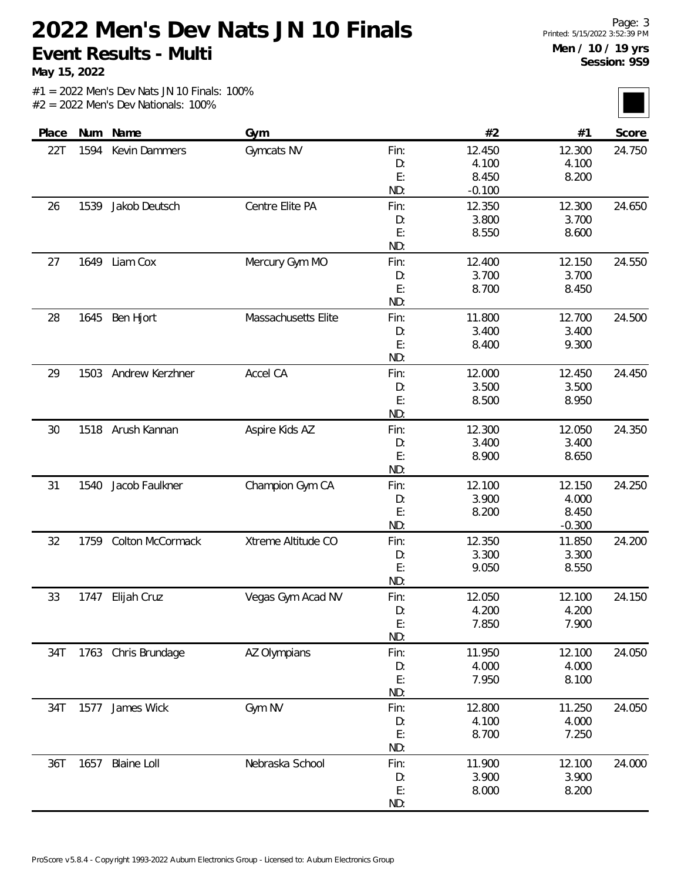**May 15, 2022**

| Place | Num  | Name                | Gym                 |      | #2       | #1       | Score  |
|-------|------|---------------------|---------------------|------|----------|----------|--------|
| 22T   | 1594 | Kevin Dammers       | Gymcats NV          | Fin: | 12.450   | 12.300   | 24.750 |
|       |      |                     |                     | D:   | 4.100    | 4.100    |        |
|       |      |                     |                     | E:   | 8.450    | 8.200    |        |
|       |      |                     |                     | ND:  | $-0.100$ |          |        |
| 26    | 1539 | Jakob Deutsch       | Centre Elite PA     | Fin: | 12.350   | 12.300   | 24.650 |
|       |      |                     |                     | D:   | 3.800    | 3.700    |        |
|       |      |                     |                     | E:   | 8.550    | 8.600    |        |
|       |      |                     |                     | ND:  |          |          |        |
| 27    | 1649 | Liam Cox            | Mercury Gym MO      | Fin: | 12.400   | 12.150   | 24.550 |
|       |      |                     |                     | D:   | 3.700    | 3.700    |        |
|       |      |                     |                     | E:   | 8.700    | 8.450    |        |
|       |      |                     |                     | ND:  |          |          |        |
| 28    | 1645 | Ben Hjort           | Massachusetts Elite | Fin: | 11.800   | 12.700   | 24.500 |
|       |      |                     |                     | D:   | 3.400    | 3.400    |        |
|       |      |                     |                     | E:   | 8.400    | 9.300    |        |
|       |      |                     |                     | ND:  |          |          |        |
| 29    | 1503 | Andrew Kerzhner     | Accel CA            | Fin: | 12.000   | 12.450   | 24.450 |
|       |      |                     |                     | D:   | 3.500    | 3.500    |        |
|       |      |                     |                     | E:   | 8.500    | 8.950    |        |
|       |      |                     |                     | ND:  |          |          |        |
| 30    | 1518 | Arush Kannan        | Aspire Kids AZ      | Fin: | 12.300   | 12.050   | 24.350 |
|       |      |                     |                     | D:   | 3.400    | 3.400    |        |
|       |      |                     |                     | E:   | 8.900    | 8.650    |        |
|       |      |                     |                     | ND:  |          |          |        |
| 31    | 1540 | Jacob Faulkner      | Champion Gym CA     | Fin: | 12.100   | 12.150   | 24.250 |
|       |      |                     |                     | D:   | 3.900    | 4.000    |        |
|       |      |                     |                     | E:   | 8.200    | 8.450    |        |
|       |      |                     |                     | ND:  |          | $-0.300$ |        |
| 32    | 1759 | Colton McCormack    | Xtreme Altitude CO  | Fin: | 12.350   | 11.850   | 24.200 |
|       |      |                     |                     | D:   | 3.300    | 3.300    |        |
|       |      |                     |                     | E:   | 9.050    | 8.550    |        |
|       |      |                     |                     | ND:  |          |          |        |
| 33    |      | 1747 Elijah Cruz    | Vegas Gym Acad NV   | Fin: | 12.050   | 12.100   | 24.150 |
|       |      |                     |                     | D:   | 4.200    | 4.200    |        |
|       |      |                     |                     | E:   | 7.850    | 7.900    |        |
|       |      |                     |                     | ND:  |          |          |        |
| 34T   |      | 1763 Chris Brundage | AZ Olympians        | Fin: | 11.950   | 12.100   | 24.050 |
|       |      |                     |                     | D:   | 4.000    | 4.000    |        |
|       |      |                     |                     | E:   | 7.950    | 8.100    |        |
|       |      |                     |                     | ND:  |          |          |        |
| 34T   | 1577 | James Wick          | Gym NV              | Fin: | 12.800   | 11.250   | 24.050 |
|       |      |                     |                     | D:   | 4.100    | 4.000    |        |
|       |      |                     |                     | E:   | 8.700    | 7.250    |        |
|       |      |                     |                     | ND:  |          |          |        |
| 36T   | 1657 | <b>Blaine Loll</b>  | Nebraska School     | Fin: | 11.900   | 12.100   | 24.000 |
|       |      |                     |                     | D:   | 3.900    | 3.900    |        |
|       |      |                     |                     | E:   | 8.000    | 8.200    |        |
|       |      |                     |                     | ND:  |          |          |        |
|       |      |                     |                     |      |          |          |        |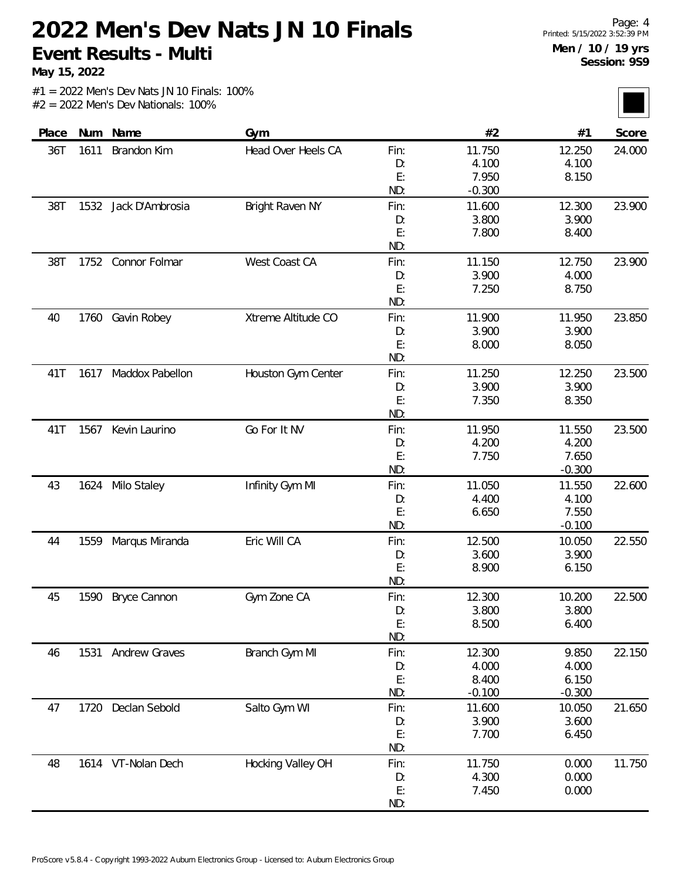**May 15, 2022**

| Place | Num  | Name                 | Gym                |      | #2       | #1       | Score  |
|-------|------|----------------------|--------------------|------|----------|----------|--------|
| 36T   | 1611 | Brandon Kim          | Head Over Heels CA | Fin: | 11.750   | 12.250   | 24.000 |
|       |      |                      |                    | D:   | 4.100    | 4.100    |        |
|       |      |                      |                    | E:   | 7.950    | 8.150    |        |
|       |      |                      |                    | ND:  | $-0.300$ |          |        |
| 38T   | 1532 | Jack D'Ambrosia      | Bright Raven NY    | Fin: | 11.600   | 12.300   | 23.900 |
|       |      |                      |                    | D:   | 3.800    | 3.900    |        |
|       |      |                      |                    | E:   | 7.800    | 8.400    |        |
|       |      |                      |                    | ND:  |          |          |        |
| 38T   | 1752 | Connor Folmar        | West Coast CA      | Fin: | 11.150   | 12.750   | 23.900 |
|       |      |                      |                    | D:   | 3.900    | 4.000    |        |
|       |      |                      |                    | E:   | 7.250    | 8.750    |        |
|       |      |                      |                    | ND:  |          |          |        |
| 40    | 1760 | Gavin Robey          | Xtreme Altitude CO | Fin: | 11.900   | 11.950   | 23.850 |
|       |      |                      |                    | D:   | 3.900    | 3.900    |        |
|       |      |                      |                    | E:   | 8.000    | 8.050    |        |
|       |      |                      |                    | ND:  |          |          |        |
| 41T   |      | 1617 Maddox Pabellon | Houston Gym Center | Fin: | 11.250   | 12.250   | 23.500 |
|       |      |                      |                    | D:   | 3.900    | 3.900    |        |
|       |      |                      |                    | E:   | 7.350    | 8.350    |        |
|       |      |                      |                    | ND:  |          |          |        |
| 41T   | 1567 | Kevin Laurino        | Go For It NV       | Fin: | 11.950   | 11.550   | 23.500 |
|       |      |                      |                    | D:   | 4.200    | 4.200    |        |
|       |      |                      |                    | E:   | 7.750    | 7.650    |        |
|       |      |                      |                    | ND:  |          | $-0.300$ |        |
| 43    |      | 1624 Milo Staley     | Infinity Gym MI    | Fin: | 11.050   | 11.550   | 22.600 |
|       |      |                      |                    | D:   | 4.400    | 4.100    |        |
|       |      |                      |                    | E:   | 6.650    | 7.550    |        |
|       |      |                      |                    | ND:  |          | $-0.100$ |        |
| 44    | 1559 | Marqus Miranda       | Eric Will CA       | Fin: | 12.500   | 10.050   | 22.550 |
|       |      |                      |                    | D:   | 3.600    | 3.900    |        |
|       |      |                      |                    | E:   | 8.900    | 6.150    |        |
|       |      |                      |                    | ND:  |          |          |        |
| 45    | 1590 | Bryce Cannon         | Gym Zone CA        | Fin: | 12.300   | 10.200   | 22.500 |
|       |      |                      |                    | D:   | 3.800    | 3.800    |        |
|       |      |                      |                    | E:   | 8.500    | 6.400    |        |
|       |      |                      |                    | ND:  |          |          |        |
| 46    | 1531 | <b>Andrew Graves</b> | Branch Gym MI      | Fin: | 12.300   | 9.850    | 22.150 |
|       |      |                      |                    | D:   | 4.000    | 4.000    |        |
|       |      |                      |                    | E:   | 8.400    | 6.150    |        |
|       |      |                      |                    | ND:  | $-0.100$ | $-0.300$ |        |
| 47    | 1720 | Declan Sebold        | Salto Gym WI       | Fin: | 11.600   | 10.050   | 21.650 |
|       |      |                      |                    | D:   | 3.900    | 3.600    |        |
|       |      |                      |                    | E:   | 7.700    | 6.450    |        |
|       |      |                      |                    | ND:  |          |          |        |
| 48    |      | 1614 VT-Nolan Dech   | Hocking Valley OH  | Fin: | 11.750   | 0.000    | 11.750 |
|       |      |                      |                    | D:   | 4.300    | 0.000    |        |
|       |      |                      |                    | E:   | 7.450    | 0.000    |        |
|       |      |                      |                    | ND:  |          |          |        |
|       |      |                      |                    |      |          |          |        |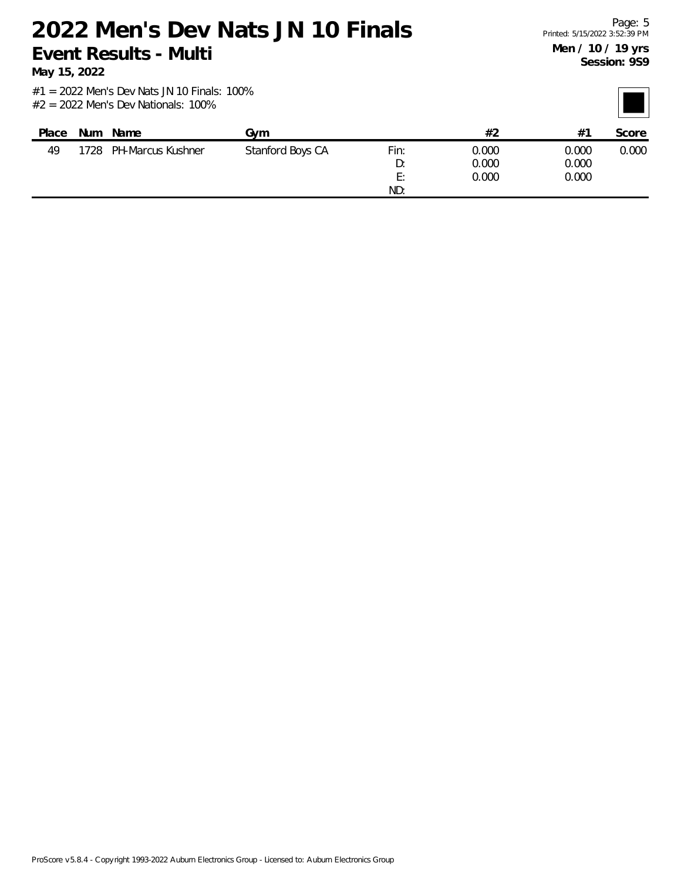**May 15, 2022**

| Place | Num  | Name              | Gvm              |      | #2    | $#^{\uparrow}$ | Score |
|-------|------|-------------------|------------------|------|-------|----------------|-------|
| 49    | 1728 | PH-Marcus Kushner | Stanford Boys CA | Fin: | 0.000 | 0.000          | 0.000 |
|       |      |                   |                  | D:   | 0.000 | 0.000          |       |
|       |      |                   |                  | E:   | 0.000 | 0.000          |       |
|       |      |                   |                  | ND:  |       |                |       |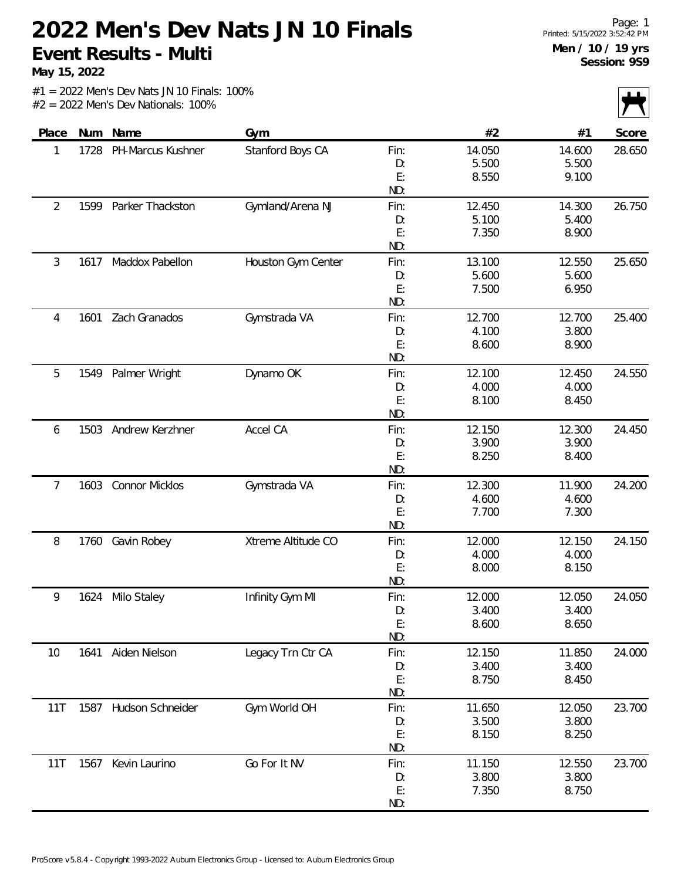**May 15, 2022**

| $\mathbf{V}$ |        |        |      |                    |                       |      |       |
|--------------|--------|--------|------|--------------------|-----------------------|------|-------|
| Score        | #1     | #2     |      | Gym                | Num Name              |      | Place |
| 28.650       | 14.600 | 14.050 | Fin: | Stanford Boys CA   | PH-Marcus Kushner     | 1728 | 1     |
|              | 5.500  | 5.500  | D:   |                    |                       |      |       |
|              | 9.100  | 8.550  | E:   |                    |                       |      |       |
|              |        |        | ND:  |                    |                       |      |       |
| 26.750       | 14.300 | 12.450 | Fin: | Gymland/Arena NJ   | Parker Thackston      | 1599 | 2     |
|              | 5.400  | 5.100  | D:   |                    |                       |      |       |
|              | 8.900  | 7.350  | E:   |                    |                       |      |       |
|              |        |        | ND:  |                    |                       |      |       |
| 25.650       | 12.550 | 13.100 | Fin: | Houston Gym Center | Maddox Pabellon       | 1617 | 3     |
|              | 5.600  | 5.600  | D:   |                    |                       |      |       |
|              | 6.950  | 7.500  | E:   |                    |                       |      |       |
|              |        |        | ND:  |                    |                       |      |       |
| 25.400       | 12.700 | 12.700 | Fin: | Gymstrada VA       | Zach Granados         | 1601 | 4     |
|              | 3.800  | 4.100  | D:   |                    |                       |      |       |
|              | 8.900  | 8.600  | E:   |                    |                       |      |       |
|              |        |        | ND:  |                    |                       |      |       |
| 24.550       | 12.450 | 12.100 | Fin: | Dynamo OK          | Palmer Wright         | 1549 | 5     |
|              | 4.000  | 4.000  | D:   |                    |                       |      |       |
|              | 8.450  | 8.100  | E:   |                    |                       |      |       |
|              |        |        | ND:  |                    |                       |      |       |
| 24.450       | 12.300 | 12.150 | Fin: | Accel CA           | 1503 Andrew Kerzhner  |      | 6     |
|              | 3.900  | 3.900  | D:   |                    |                       |      |       |
|              | 8.400  | 8.250  | E:   |                    |                       |      |       |
|              |        |        | ND:  |                    |                       |      |       |
| 24.200       | 11.900 | 12.300 | Fin: | Gymstrada VA       | <b>Connor Micklos</b> | 1603 | 7     |
|              | 4.600  | 4.600  | D:   |                    |                       |      |       |
|              | 7.300  | 7.700  | E:   |                    |                       |      |       |
|              |        |        | ND:  |                    |                       |      |       |
| 24.150       | 12.150 | 12.000 | Fin: | Xtreme Altitude CO | Gavin Robey           | 1760 | 8     |
|              | 4.000  | 4.000  | D:   |                    |                       |      |       |
|              | 8.150  | 8.000  | E:   |                    |                       |      |       |
|              |        |        | ND:  |                    |                       |      |       |
| 24.050       | 12.050 | 12.000 | Fin: | Infinity Gym MI    | Milo Staley           | 1624 | 9     |
|              | 3.400  | 3.400  | D:   |                    |                       |      |       |
|              | 8.650  | 8.600  | E:   |                    |                       |      |       |
|              |        |        | ND:  |                    |                       |      |       |
| 24.000       | 11.850 | 12.150 | Fin: | Legacy Trn Ctr CA  | Aiden Nielson         | 1641 | 10    |
|              | 3.400  | 3.400  | D:   |                    |                       |      |       |
|              | 8.450  | 8.750  | E:   |                    |                       |      |       |
|              |        |        | ND:  |                    |                       |      |       |
| 23.700       | 12.050 | 11.650 | Fin: | Gym World OH       | Hudson Schneider      | 1587 | 11T   |
|              | 3.800  | 3.500  | D:   |                    |                       |      |       |
|              | 8.250  | 8.150  | E:   |                    |                       |      |       |
|              |        |        | ND:  |                    |                       |      |       |
| 23.700       | 12.550 | 11.150 | Fin: | Go For It NV       | 1567 Kevin Laurino    |      | 11T   |
|              | 3.800  | 3.800  | D:   |                    |                       |      |       |
|              | 8.750  | 7.350  | E:   |                    |                       |      |       |
|              |        |        | ND:  |                    |                       |      |       |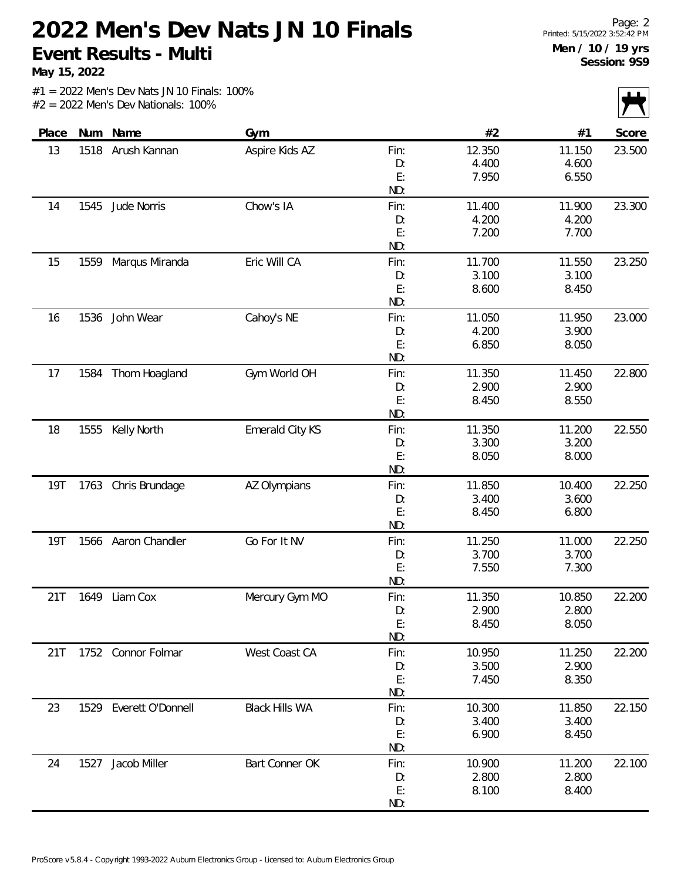**May 15, 2022**

| $\mathbf{r}$ |        |        |      |                       |                        |      |            |
|--------------|--------|--------|------|-----------------------|------------------------|------|------------|
| Score        | #1     | #2     |      | Gym                   | Name                   | Num  | Place      |
| 23.500       | 11.150 | 12.350 | Fin: | Aspire Kids AZ        | Arush Kannan           | 1518 | 13         |
|              | 4.600  | 4.400  | D:   |                       |                        |      |            |
|              | 6.550  | 7.950  | E:   |                       |                        |      |            |
|              |        |        | ND:  |                       |                        |      |            |
| 23.300       | 11.900 | 11.400 | Fin: | Chow's IA             | Jude Norris            | 1545 | 14         |
|              | 4.200  | 4.200  | D:   |                       |                        |      |            |
|              | 7.700  | 7.200  | E:   |                       |                        |      |            |
|              |        |        | ND:  |                       |                        |      |            |
| 23.250       | 11.550 | 11.700 | Fin: | Eric Will CA          | Marqus Miranda         | 1559 | 15         |
|              | 3.100  | 3.100  | D:   |                       |                        |      |            |
|              | 8.450  | 8.600  | E:   |                       |                        |      |            |
|              |        |        | ND:  |                       |                        |      |            |
| 23.000       | 11.950 | 11.050 | Fin: | Cahoy's NE            | John Wear              | 1536 | 16         |
|              | 3.900  | 4.200  | D:   |                       |                        |      |            |
|              | 8.050  | 6.850  | E:   |                       |                        |      |            |
|              |        |        | ND:  |                       |                        |      |            |
| 22.800       | 11.450 | 11.350 | Fin: | Gym World OH          | Thom Hoagland          | 1584 | 17         |
|              | 2.900  | 2.900  | D:   |                       |                        |      |            |
|              | 8.550  | 8.450  | E:   |                       |                        |      |            |
|              |        |        | ND:  |                       |                        |      |            |
| 22.550       | 11.200 | 11.350 | Fin: | Emerald City KS       | Kelly North            | 1555 | 18         |
|              | 3.200  | 3.300  | D:   |                       |                        |      |            |
|              | 8.000  | 8.050  | E:   |                       |                        |      |            |
|              |        |        | ND:  |                       |                        |      |            |
| 22.250       | 10.400 | 11.850 | Fin: | AZ Olympians          | 1763 Chris Brundage    |      | 19T        |
|              | 3.600  | 3.400  | D:   |                       |                        |      |            |
|              | 6.800  | 8.450  | E:   |                       |                        |      |            |
|              |        |        | ND:  |                       |                        |      |            |
| 22.250       | 11.000 | 11.250 | Fin: | Go For It NV          | 1566 Aaron Chandler    |      | <b>19T</b> |
|              | 3.700  | 3.700  | D:   |                       |                        |      |            |
|              | 7.300  | 7.550  | E:   |                       |                        |      |            |
|              |        |        | ND:  |                       |                        |      |            |
| 22.200       | 10.850 | 11.350 | Fin: | Mercury Gym MO        | Liam Cox               | 1649 | 21T        |
|              | 2.800  | 2.900  | D:   |                       |                        |      |            |
|              | 8.050  | 8.450  | E:   |                       |                        |      |            |
|              |        |        | ND:  |                       |                        |      |            |
| 22.200       | 11.250 | 10.950 | Fin: | West Coast CA         | 1752 Connor Folmar     |      | 21T        |
|              | 2.900  | 3.500  | D:   |                       |                        |      |            |
|              | 8.350  | 7.450  | E:   |                       |                        |      |            |
|              |        |        | ND:  |                       |                        |      |            |
| 22.150       | 11.850 | 10.300 | Fin: | <b>Black Hills WA</b> | 1529 Everett O'Donnell |      | 23         |
|              | 3.400  | 3.400  | D:   |                       |                        |      |            |
|              | 8.450  | 6.900  | E:   |                       |                        |      |            |
|              |        |        | ND:  |                       |                        |      |            |
| 22.100       | 11.200 | 10.900 | Fin: | Bart Conner OK        | Jacob Miller           | 1527 | 24         |
|              | 2.800  | 2.800  | D:   |                       |                        |      |            |
|              | 8.400  | 8.100  | E:   |                       |                        |      |            |
|              |        |        | ND:  |                       |                        |      |            |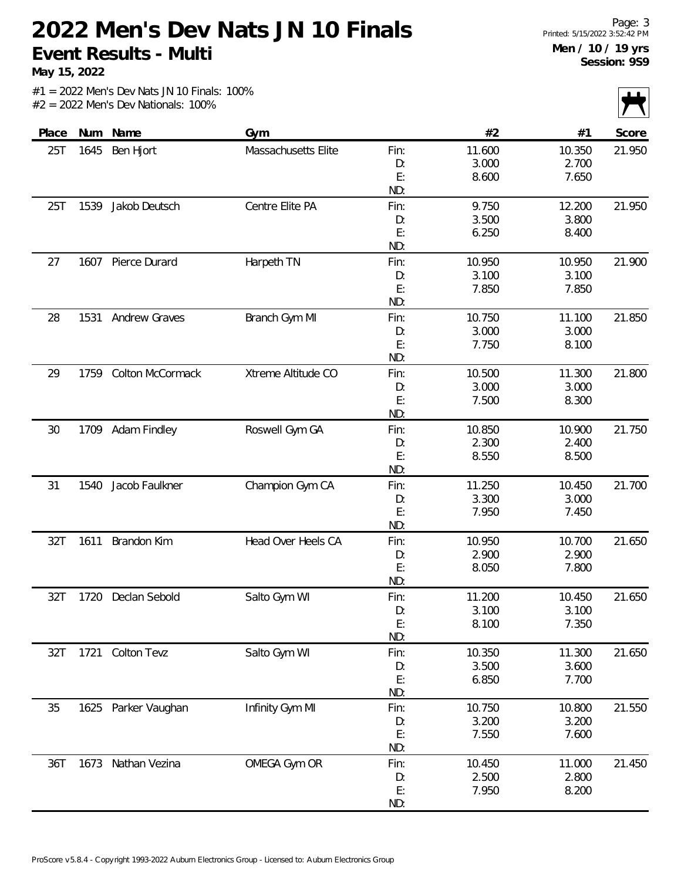**May 15, 2022**

|       |      |                         |                     |      |        |        | $\sim$ $\sim$ |
|-------|------|-------------------------|---------------------|------|--------|--------|---------------|
| Place |      | Num Name                | Gym                 |      | #2     | #1     | Score         |
| 25T   | 1645 | Ben Hjort               | Massachusetts Elite | Fin: | 11.600 | 10.350 | 21.950        |
|       |      |                         |                     | D:   | 3.000  | 2.700  |               |
|       |      |                         |                     | E:   | 8.600  | 7.650  |               |
|       |      |                         |                     | ND:  |        |        |               |
| 25T   |      | 1539 Jakob Deutsch      | Centre Elite PA     | Fin: | 9.750  | 12.200 | 21.950        |
|       |      |                         |                     | D:   | 3.500  | 3.800  |               |
|       |      |                         |                     | E:   | 6.250  | 8.400  |               |
|       |      |                         |                     | ND:  |        |        |               |
| 27    | 1607 | Pierce Durard           | Harpeth TN          | Fin: | 10.950 | 10.950 | 21.900        |
|       |      |                         |                     | D:   | 3.100  | 3.100  |               |
|       |      |                         |                     | E:   | 7.850  | 7.850  |               |
|       |      |                         |                     | ND:  |        |        |               |
| 28    | 1531 | Andrew Graves           | Branch Gym MI       | Fin: | 10.750 | 11.100 | 21.850        |
|       |      |                         |                     | D:   | 3.000  | 3.000  |               |
|       |      |                         |                     | E:   | 7.750  | 8.100  |               |
|       |      |                         |                     | ND:  |        |        |               |
| 29    | 1759 | <b>Colton McCormack</b> | Xtreme Altitude CO  | Fin: | 10.500 | 11.300 | 21.800        |
|       |      |                         |                     | D:   | 3.000  | 3.000  |               |
|       |      |                         |                     | E:   | 7.500  | 8.300  |               |
|       |      |                         |                     | ND:  |        |        |               |
| 30    |      | 1709 Adam Findley       | Roswell Gym GA      | Fin: | 10.850 | 10.900 | 21.750        |
|       |      |                         |                     | D:   | 2.300  | 2.400  |               |
|       |      |                         |                     | E:   | 8.550  | 8.500  |               |
|       |      |                         |                     | ND:  |        |        |               |
| 31    | 1540 | Jacob Faulkner          | Champion Gym CA     | Fin: | 11.250 | 10.450 | 21.700        |
|       |      |                         |                     | D:   | 3.300  | 3.000  |               |
|       |      |                         |                     | E:   | 7.950  | 7.450  |               |
|       |      |                         |                     | ND:  |        |        |               |
| 32T   | 1611 | Brandon Kim             | Head Over Heels CA  | Fin: | 10.950 | 10.700 | 21.650        |
|       |      |                         |                     | D:   | 2.900  | 2.900  |               |
|       |      |                         |                     | E:   | 8.050  | 7.800  |               |
|       |      |                         |                     | ND:  |        |        |               |
| 32T   | 1720 | Declan Sebold           | Salto Gym WI        | Fin: | 11.200 | 10.450 | 21.650        |
|       |      |                         |                     | D:   | 3.100  | 3.100  |               |
|       |      |                         |                     | E:   | 8.100  | 7.350  |               |
|       |      |                         |                     | ND:  |        |        |               |
| 32T   |      | 1721 Colton Tevz        | Salto Gym WI        | Fin: | 10.350 | 11.300 | 21.650        |
|       |      |                         |                     | D:   | 3.500  | 3.600  |               |
|       |      |                         |                     | E:   | 6.850  | 7.700  |               |
|       |      |                         |                     | ND:  |        |        |               |
| 35    |      | 1625 Parker Vaughan     | Infinity Gym MI     | Fin: | 10.750 | 10.800 | 21.550        |
|       |      |                         |                     | D:   | 3.200  | 3.200  |               |
|       |      |                         |                     | E:   | 7.550  | 7.600  |               |
|       |      |                         |                     | ND:  |        |        |               |
| 36T   | 1673 | Nathan Vezina           | OMEGA Gym OR        | Fin: | 10.450 | 11.000 | 21.450        |
|       |      |                         |                     | D:   | 2.500  | 2.800  |               |
|       |      |                         |                     | E:   | 7.950  | 8.200  |               |
|       |      |                         |                     | ND:  |        |        |               |
|       |      |                         |                     |      |        |        |               |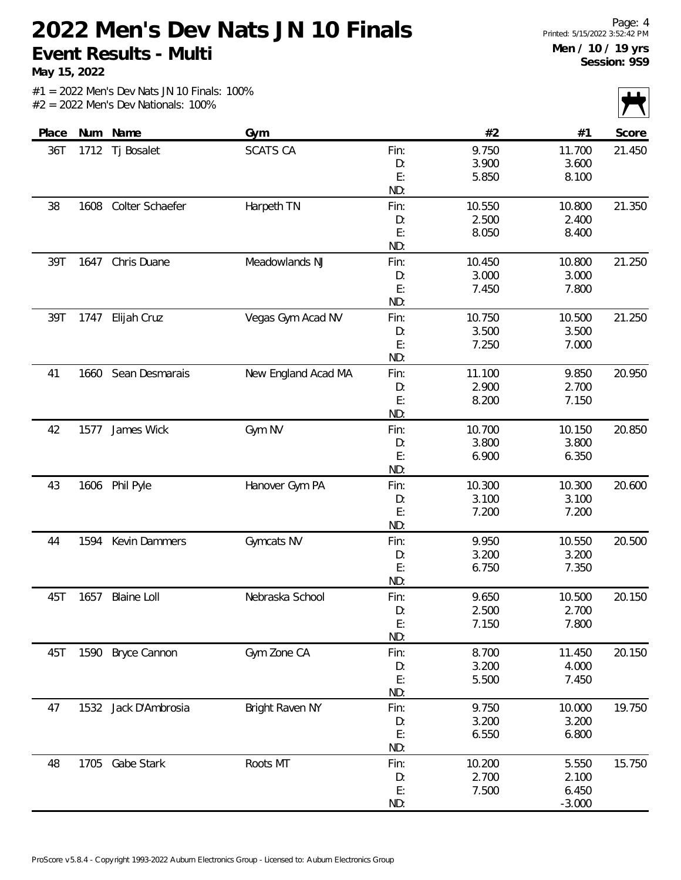**May 15, 2022**

|       |      |                    |                     |           |                 |                 | $\sqrt{ }$ |
|-------|------|--------------------|---------------------|-----------|-----------------|-----------------|------------|
| Place |      | Num Name           | Gym                 |           | #2              | #1              | Score      |
| 36T   | 1712 | Tj Bosalet         | <b>SCATS CA</b>     | Fin:      | 9.750           | 11.700          | 21.450     |
|       |      |                    |                     | D:        | 3.900           | 3.600           |            |
|       |      |                    |                     | E:        | 5.850           | 8.100           |            |
|       |      |                    |                     | ND:       |                 |                 |            |
| 38    | 1608 | Colter Schaefer    | Harpeth TN          | Fin:      | 10.550          | 10.800          | 21.350     |
|       |      |                    |                     | D:        | 2.500           | 2.400           |            |
|       |      |                    |                     | E:        | 8.050           | 8.400           |            |
|       |      |                    |                     | ND:       |                 |                 |            |
| 39T   | 1647 | Chris Duane        | Meadowlands NJ      | Fin:      | 10.450          | 10.800          | 21.250     |
|       |      |                    |                     | D:        | 3.000           | 3.000           |            |
|       |      |                    |                     | E:        | 7.450           | 7.800           |            |
|       |      |                    |                     | ND:       |                 |                 |            |
| 39T   |      | 1747 Elijah Cruz   | Vegas Gym Acad NV   | Fin:      | 10.750          | 10.500          | 21.250     |
|       |      |                    |                     | D:        | 3.500           | 3.500           |            |
|       |      |                    |                     | E:        | 7.250           | 7.000           |            |
|       |      |                    |                     | ND:       |                 |                 |            |
| 41    | 1660 | Sean Desmarais     | New England Acad MA | Fin:      | 11.100          | 9.850           | 20.950     |
|       |      |                    |                     | D:        | 2.900           | 2.700           |            |
|       |      |                    |                     | E:        | 8.200           | 7.150           |            |
|       |      |                    |                     | ND:       |                 |                 |            |
| 42    | 1577 | James Wick         | Gym NV              | Fin:      | 10.700          | 10.150          | 20.850     |
|       |      |                    |                     | D:        | 3.800           | 3.800           |            |
|       |      |                    |                     | E:<br>ND: | 6.900           | 6.350           |            |
|       |      |                    |                     |           |                 |                 |            |
| 43    |      | 1606 Phil Pyle     | Hanover Gym PA      | Fin:      | 10.300<br>3.100 | 10.300<br>3.100 | 20.600     |
|       |      |                    |                     | D:<br>E:  | 7.200           | 7.200           |            |
|       |      |                    |                     | ND:       |                 |                 |            |
| 44    | 1594 | Kevin Dammers      | Gymcats NV          | Fin:      | 9.950           | 10.550          | 20.500     |
|       |      |                    |                     | D:        | 3.200           | 3.200           |            |
|       |      |                    |                     | E:        | 6.750           | 7.350           |            |
|       |      |                    |                     | ND:       |                 |                 |            |
| 45T   | 1657 | <b>Blaine Loll</b> | Nebraska School     | Fin:      | 9.650           | 10.500          | 20.150     |
|       |      |                    |                     | D:        | 2.500           | 2.700           |            |
|       |      |                    |                     | E:        | 7.150           | 7.800           |            |
|       |      |                    |                     | ND:       |                 |                 |            |
| 45T   |      | 1590 Bryce Cannon  | Gym Zone CA         | Fin:      | 8.700           | 11.450          | 20.150     |
|       |      |                    |                     | D:        | 3.200           | 4.000           |            |
|       |      |                    |                     | E:        | 5.500           | 7.450           |            |
|       |      |                    |                     | ND:       |                 |                 |            |
| 47    | 1532 | Jack D'Ambrosia    | Bright Raven NY     | Fin:      | 9.750           | 10.000          | 19.750     |
|       |      |                    |                     | D:        | 3.200           | 3.200           |            |
|       |      |                    |                     | E:        | 6.550           | 6.800           |            |
|       |      |                    |                     | ND:       |                 |                 |            |
| 48    |      | 1705 Gabe Stark    | Roots MT            | Fin:      | 10.200          | 5.550           | 15.750     |
|       |      |                    |                     | D:        | 2.700           | 2.100           |            |
|       |      |                    |                     | E:        | 7.500           | 6.450           |            |
|       |      |                    |                     | ND:       |                 | $-3.000$        |            |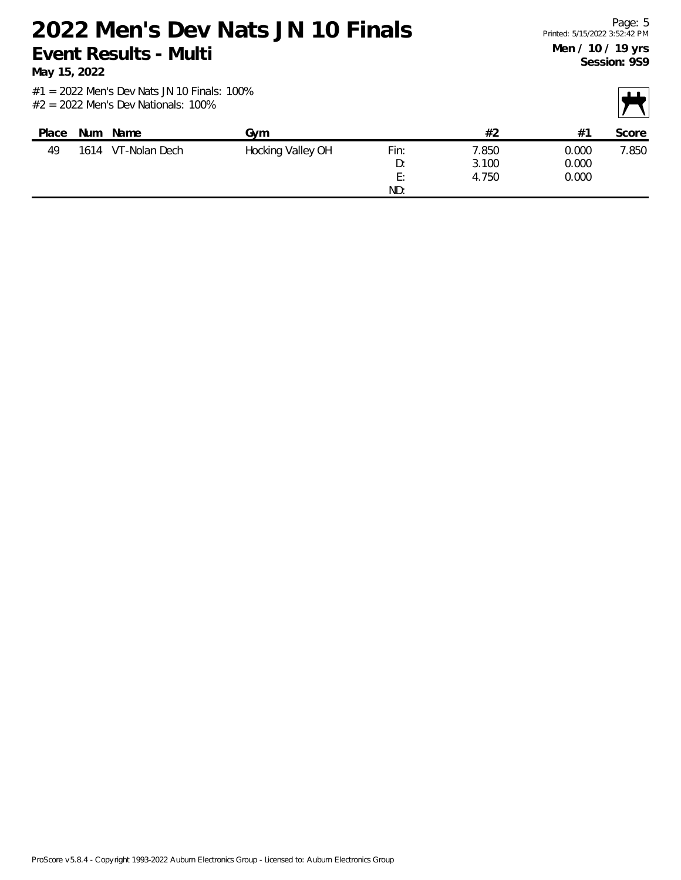**May 15, 2022**

| Place | <b>Num</b> | Name          | Gvm               |            | #2             | $#^2$          | Score |
|-------|------------|---------------|-------------------|------------|----------------|----------------|-------|
| 49    | 1614       | VT-Nolan Dech | Hocking Valley OH | Fin:<br>D: | 7.850<br>3.100 | 0.000<br>0.000 | 7.850 |
|       |            |               |                   | E:<br>ND:  | 4.750          | 0.000          |       |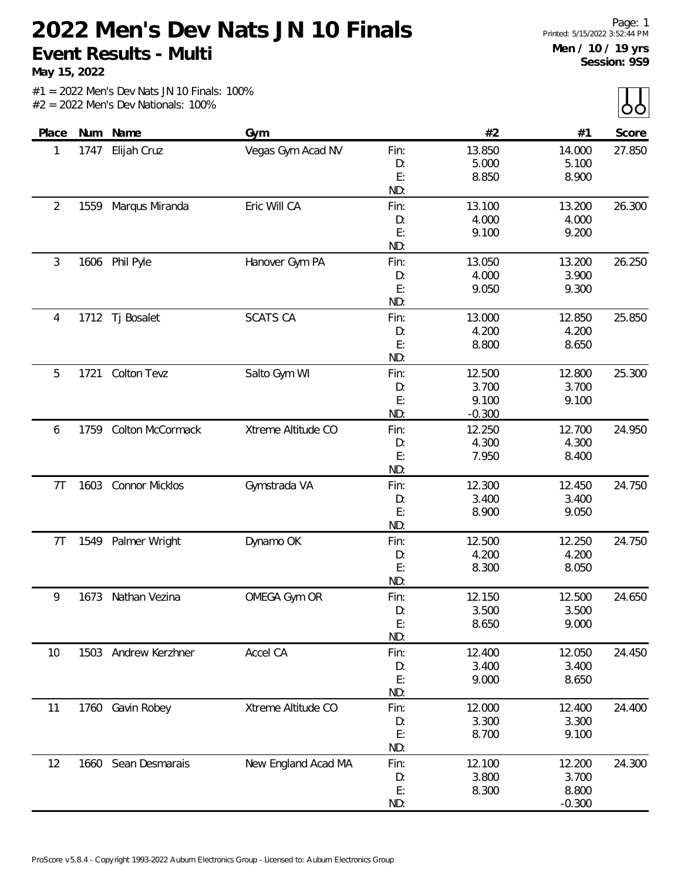**May 15, 2022**

| Place          |      | Num Name              | Gym                 |          | #2       | #1             | Score  |
|----------------|------|-----------------------|---------------------|----------|----------|----------------|--------|
| 1              | 1747 | Elijah Cruz           | Vegas Gym Acad NV   | Fin:     | 13.850   | 14.000         | 27.850 |
|                |      |                       |                     | D:       | 5.000    | 5.100          |        |
|                |      |                       |                     | E:       | 8.850    | 8.900          |        |
|                |      |                       |                     | ND:      |          |                |        |
| 2              | 1559 | Marqus Miranda        | Eric Will CA        | Fin:     | 13.100   | 13.200         | 26.300 |
|                |      |                       |                     | D:       | 4.000    | 4.000          |        |
|                |      |                       |                     | E:       | 9.100    | 9.200          |        |
|                |      |                       |                     | ND:      |          |                |        |
| 3              |      | 1606 Phil Pyle        | Hanover Gym PA      | Fin:     | 13.050   | 13.200         | 26.250 |
|                |      |                       |                     | D:       | 4.000    | 3.900          |        |
|                |      |                       |                     | E:       | 9.050    | 9.300          |        |
|                |      |                       |                     | ND:      |          |                |        |
| 4              | 1712 | Tj Bosalet            | <b>SCATS CA</b>     | Fin:     | 13.000   | 12.850         | 25.850 |
|                |      |                       |                     | D:       | 4.200    | 4.200          |        |
|                |      |                       |                     | E:       | 8.800    | 8.650          |        |
|                |      |                       |                     | ND:      |          |                |        |
| 5              | 1721 | Colton Tevz           | Salto Gym WI        | Fin:     | 12.500   | 12.800         | 25.300 |
|                |      |                       |                     | D:       | 3.700    | 3.700          |        |
|                |      |                       |                     | E:       | 9.100    | 9.100          |        |
|                |      |                       |                     | ND:      | $-0.300$ |                |        |
| 6              | 1759 | Colton McCormack      | Xtreme Altitude CO  | Fin:     | 12.250   | 12.700         | 24.950 |
|                |      |                       |                     | D:       | 4.300    | 4.300          |        |
|                |      |                       |                     | E:       | 7.950    | 8.400          |        |
|                |      |                       |                     | ND:      |          |                |        |
| 7T             | 1603 | <b>Connor Micklos</b> | Gymstrada VA        | Fin:     | 12.300   | 12.450         | 24.750 |
|                |      |                       |                     | D:<br>E: | 3.400    | 3.400<br>9.050 |        |
|                |      |                       |                     | ND:      | 8.900    |                |        |
| 7 <sub>T</sub> | 1549 | Palmer Wright         | Dynamo OK           | Fin:     | 12.500   | 12.250         | 24.750 |
|                |      |                       |                     | D:       | 4.200    | 4.200          |        |
|                |      |                       |                     | E:       | 8.300    | 8.050          |        |
|                |      |                       |                     | ND:      |          |                |        |
| 9              | 1673 | Nathan Vezina         | OMEGA Gym OR        | Fin:     | 12.150   | 12.500         | 24.650 |
|                |      |                       |                     | D:       | 3.500    | 3.500          |        |
|                |      |                       |                     | E:       | 8.650    | 9.000          |        |
|                |      |                       |                     | ND:      |          |                |        |
| 10             |      | 1503 Andrew Kerzhner  | Accel CA            | Fin:     | 12.400   | 12.050         | 24.450 |
|                |      |                       |                     | D:       | 3.400    | 3.400          |        |
|                |      |                       |                     | E:       | 9.000    | 8.650          |        |
|                |      |                       |                     | ND:      |          |                |        |
| 11             |      | 1760 Gavin Robey      | Xtreme Altitude CO  | Fin:     | 12.000   | 12.400         | 24.400 |
|                |      |                       |                     | D:       | 3.300    | 3.300          |        |
|                |      |                       |                     | E:       | 8.700    | 9.100          |        |
|                |      |                       |                     | ND:      |          |                |        |
| 12             |      | 1660 Sean Desmarais   | New England Acad MA | Fin:     | 12.100   | 12.200         | 24.300 |
|                |      |                       |                     | D:       | 3.800    | 3.700          |        |
|                |      |                       |                     | E:       | 8.300    | 8.800          |        |
|                |      |                       |                     | ND:      |          | $-0.300$       |        |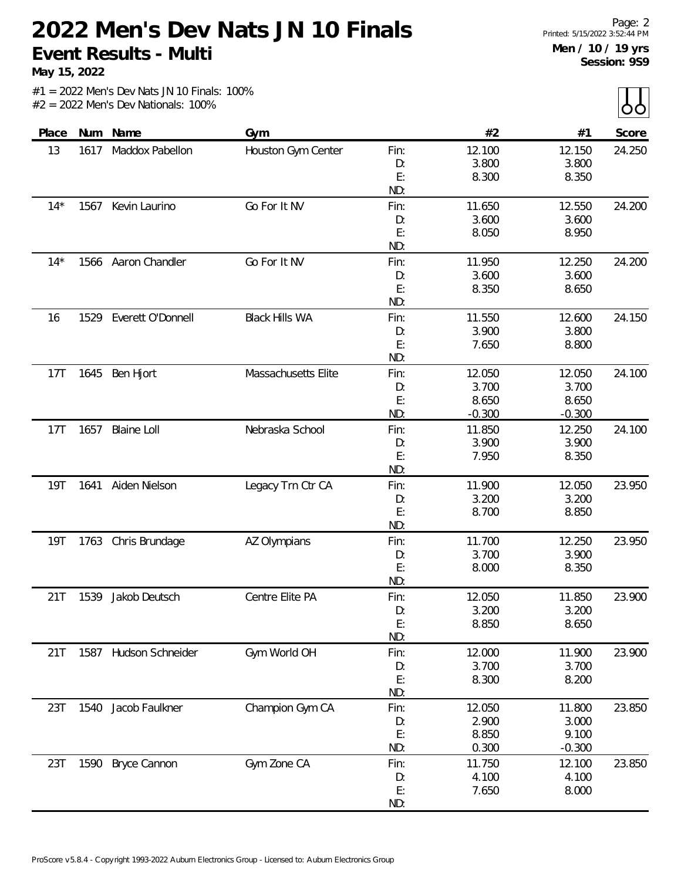**May 15, 2022**

|            |      |                       |                       |           |                |                 | $ -$   |
|------------|------|-----------------------|-----------------------|-----------|----------------|-----------------|--------|
| Place      |      | Num Name              | Gym                   |           | #2             | #1              | Score  |
| 13         | 1617 | Maddox Pabellon       | Houston Gym Center    | Fin:      | 12.100         | 12.150          | 24.250 |
|            |      |                       |                       | D:        | 3.800          | 3.800           |        |
|            |      |                       |                       | E:        | 8.300          | 8.350           |        |
|            |      |                       |                       | ND:       |                |                 |        |
| $14*$      |      | 1567 Kevin Laurino    | Go For It NV          | Fin:      | 11.650         | 12.550          | 24.200 |
|            |      |                       |                       | D:        | 3.600          | 3.600           |        |
|            |      |                       |                       | E:        | 8.050          | 8.950           |        |
|            |      |                       |                       | ND:       |                |                 |        |
| $14*$      |      | 1566 Aaron Chandler   | Go For It NV          | Fin:      | 11.950         | 12.250          | 24.200 |
|            |      |                       |                       | D:        | 3.600          | 3.600           |        |
|            |      |                       |                       | E:        | 8.350          | 8.650           |        |
|            |      |                       |                       | ND:       |                |                 |        |
| 16         | 1529 | Everett O'Donnell     | <b>Black Hills WA</b> | Fin:      | 11.550         | 12.600          | 24.150 |
|            |      |                       |                       | D:        | 3.900          | 3.800           |        |
|            |      |                       |                       | E:        | 7.650          | 8.800           |        |
|            |      |                       |                       | ND:       |                |                 |        |
| 17T        | 1645 | Ben Hjort             | Massachusetts Elite   | Fin:      | 12.050         | 12.050          | 24.100 |
|            |      |                       |                       | D:        | 3.700          | 3.700           |        |
|            |      |                       |                       | E:        | 8.650          | 8.650           |        |
|            |      |                       |                       | ND:       | $-0.300$       | $-0.300$        |        |
| 17T        | 1657 | <b>Blaine Loll</b>    | Nebraska School       | Fin:      | 11.850         | 12.250          | 24.100 |
|            |      |                       |                       | D:        | 3.900          | 3.900           |        |
|            |      |                       |                       | E:        | 7.950          | 8.350           |        |
|            |      |                       |                       | ND:       |                |                 |        |
| <b>19T</b> |      | 1641 Aiden Nielson    | Legacy Trn Ctr CA     | Fin:      | 11.900         | 12.050          | 23.950 |
|            |      |                       |                       | D:        | 3.200          | 3.200           |        |
|            |      |                       |                       | E:        | 8.700          | 8.850           |        |
|            |      |                       |                       | ND:       |                |                 |        |
| 19T        |      | 1763 Chris Brundage   | AZ Olympians          | Fin:      | 11.700         | 12.250          | 23.950 |
|            |      |                       |                       | D:        | 3.700          | 3.900           |        |
|            |      |                       |                       | E:        | 8.000          | 8.350           |        |
|            |      |                       |                       | ND:       |                |                 |        |
| 21T        | 1539 | Jakob Deutsch         | Centre Elite PA       | Fin:      | 12.050         | 11.850          | 23.900 |
|            |      |                       |                       | D:        | 3.200          | 3.200           |        |
|            |      |                       |                       | E:        | 8.850          | 8.650           |        |
|            |      |                       |                       | ND:       |                |                 |        |
| 21T        |      | 1587 Hudson Schneider | Gym World OH          | Fin:      | 12.000         | 11.900          | 23.900 |
|            |      |                       |                       | D:        | 3.700          | 3.700           |        |
|            |      |                       |                       | E:<br>ND: | 8.300          | 8.200           |        |
|            |      |                       |                       |           |                |                 |        |
| 23T        | 1540 | Jacob Faulkner        | Champion Gym CA       | Fin:      | 12.050         | 11.800          | 23.850 |
|            |      |                       |                       | D:<br>E:  | 2.900<br>8.850 | 3.000<br>9.100  |        |
|            |      |                       |                       | ND:       | 0.300          | $-0.300$        |        |
|            |      |                       |                       |           |                |                 |        |
| 23T        |      | 1590 Bryce Cannon     | Gym Zone CA           | Fin:      | 11.750         | 12.100<br>4.100 | 23.850 |
|            |      |                       |                       | D:<br>E:  | 4.100<br>7.650 | 8.000           |        |
|            |      |                       |                       | ND:       |                |                 |        |
|            |      |                       |                       |           |                |                 |        |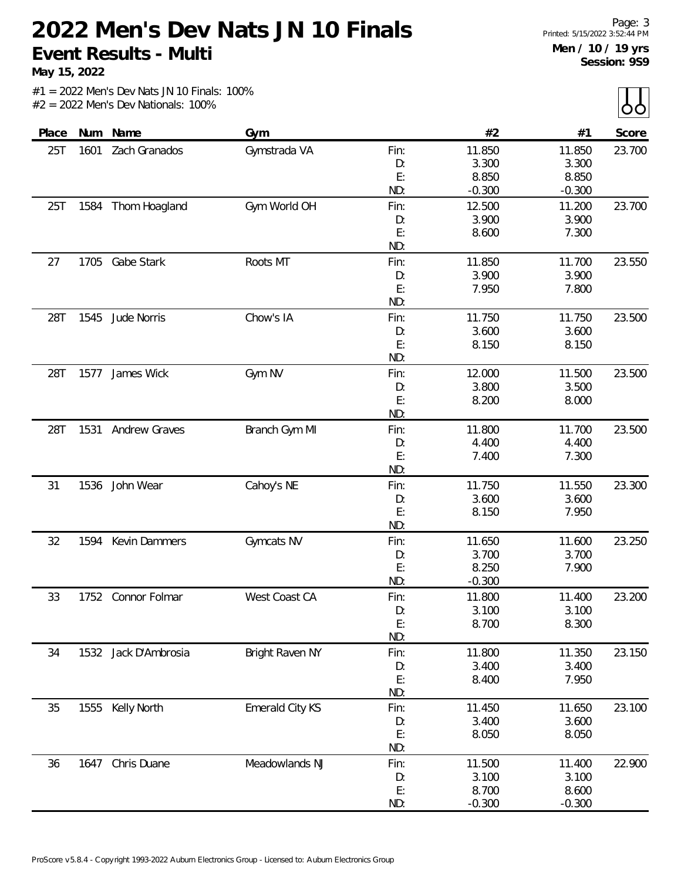**May 15, 2022**

| Place |      | Num Name             | Gym             |      | #2       | #1       | Score  |
|-------|------|----------------------|-----------------|------|----------|----------|--------|
| 25T   | 1601 | Zach Granados        | Gymstrada VA    | Fin: | 11.850   | 11.850   | 23.700 |
|       |      |                      |                 | D:   | 3.300    | 3.300    |        |
|       |      |                      |                 | E:   | 8.850    | 8.850    |        |
|       |      |                      |                 | ND:  | $-0.300$ | $-0.300$ |        |
| 25T   | 1584 | Thom Hoagland        | Gym World OH    | Fin: | 12.500   | 11.200   | 23.700 |
|       |      |                      |                 | D:   | 3.900    | 3.900    |        |
|       |      |                      |                 | E:   | 8.600    | 7.300    |        |
|       |      |                      |                 | ND:  |          |          |        |
| 27    | 1705 | Gabe Stark           | Roots MT        | Fin: | 11.850   | 11.700   | 23.550 |
|       |      |                      |                 | D:   | 3.900    | 3.900    |        |
|       |      |                      |                 | E:   | 7.950    | 7.800    |        |
|       |      |                      |                 | ND:  |          |          |        |
| 28T   | 1545 | Jude Norris          | Chow's IA       | Fin: | 11.750   | 11.750   | 23.500 |
|       |      |                      |                 | D:   | 3.600    | 3.600    |        |
|       |      |                      |                 | E:   | 8.150    | 8.150    |        |
|       |      |                      |                 | ND:  |          |          |        |
| 28T   | 1577 | James Wick           | Gym NV          | Fin: | 12.000   | 11.500   | 23.500 |
|       |      |                      |                 | D:   | 3.800    | 3.500    |        |
|       |      |                      |                 | E:   | 8.200    | 8.000    |        |
|       |      |                      |                 | ND:  |          |          |        |
| 28T   | 1531 | <b>Andrew Graves</b> | Branch Gym MI   | Fin: | 11.800   | 11.700   | 23.500 |
|       |      |                      |                 | D:   | 4.400    | 4.400    |        |
|       |      |                      |                 | E:   | 7.400    | 7.300    |        |
|       |      |                      |                 | ND:  |          |          |        |
| 31    | 1536 | John Wear            | Cahoy's NE      | Fin: | 11.750   | 11.550   | 23.300 |
|       |      |                      |                 | D:   | 3.600    | 3.600    |        |
|       |      |                      |                 | E:   | 8.150    | 7.950    |        |
|       |      |                      |                 | ND:  |          |          |        |
| 32    | 1594 | Kevin Dammers        | Gymcats NV      | Fin: | 11.650   | 11.600   | 23.250 |
|       |      |                      |                 | D:   | 3.700    | 3.700    |        |
|       |      |                      |                 | E:   | 8.250    | 7.900    |        |
|       |      |                      |                 | ND:  | $-0.300$ |          |        |
| 33    | 1752 | Connor Folmar        | West Coast CA   | Fin: | 11.800   | 11.400   | 23.200 |
|       |      |                      |                 | D:   | 3.100    | 3.100    |        |
|       |      |                      |                 | E:   | 8.700    | 8.300    |        |
|       |      |                      |                 | ND:  |          |          |        |
| 34    |      | 1532 Jack D'Ambrosia | Bright Raven NY | Fin: | 11.800   | 11.350   | 23.150 |
|       |      |                      |                 | D:   | 3.400    | 3.400    |        |
|       |      |                      |                 | E:   | 8.400    | 7.950    |        |
|       |      |                      |                 | ND:  |          |          |        |
| 35    |      | 1555 Kelly North     | Emerald City KS | Fin: | 11.450   | 11.650   | 23.100 |
|       |      |                      |                 | D:   | 3.400    | 3.600    |        |
|       |      |                      |                 | E:   | 8.050    | 8.050    |        |
|       |      |                      |                 | ND:  |          |          |        |
| 36    | 1647 | Chris Duane          | Meadowlands NJ  | Fin: | 11.500   | 11.400   | 22.900 |
|       |      |                      |                 | D:   | 3.100    | 3.100    |        |
|       |      |                      |                 | E:   | 8.700    | 8.600    |        |
|       |      |                      |                 | ND:  | $-0.300$ | $-0.300$ |        |
|       |      |                      |                 |      |          |          |        |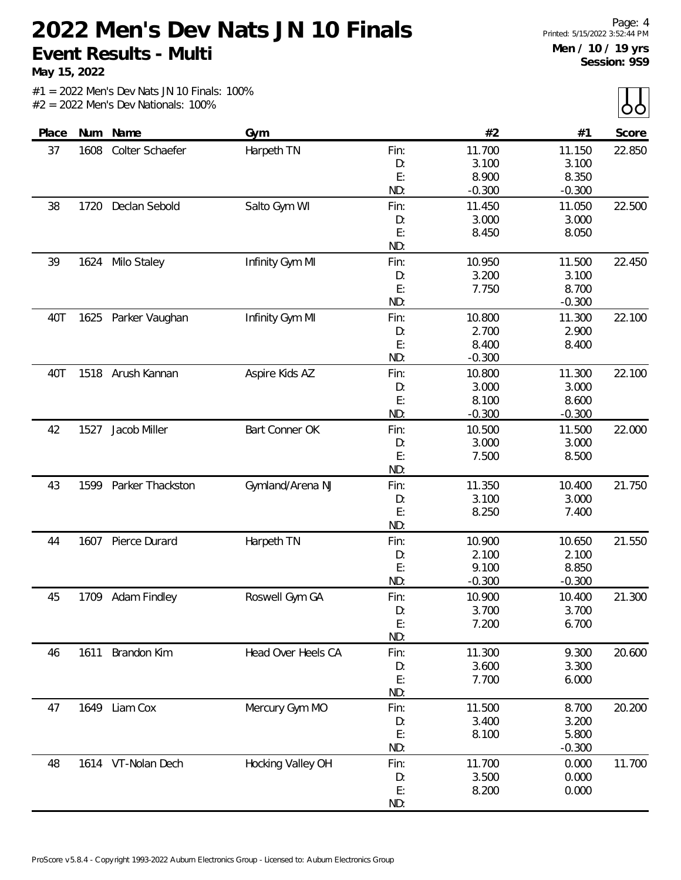**May 15, 2022**

| Place | Num  | Name               | Gym                |      | #2       | #1       | Score  |
|-------|------|--------------------|--------------------|------|----------|----------|--------|
| 37    | 1608 | Colter Schaefer    | Harpeth TN         | Fin: | 11.700   | 11.150   | 22.850 |
|       |      |                    |                    | D:   | 3.100    | 3.100    |        |
|       |      |                    |                    | E:   | 8.900    | 8.350    |        |
|       |      |                    |                    | ND:  | $-0.300$ | $-0.300$ |        |
| 38    | 1720 | Declan Sebold      | Salto Gym WI       | Fin: | 11.450   | 11.050   | 22.500 |
|       |      |                    |                    | D:   | 3.000    | 3.000    |        |
|       |      |                    |                    | E:   | 8.450    | 8.050    |        |
|       |      |                    |                    | ND:  |          |          |        |
| 39    | 1624 | Milo Staley        | Infinity Gym MI    | Fin: | 10.950   | 11.500   | 22.450 |
|       |      |                    |                    | D:   | 3.200    | 3.100    |        |
|       |      |                    |                    | E:   | 7.750    | 8.700    |        |
|       |      |                    |                    | ND:  |          | $-0.300$ |        |
| 40T   | 1625 | Parker Vaughan     | Infinity Gym MI    | Fin: | 10.800   | 11.300   | 22.100 |
|       |      |                    |                    | D:   | 2.700    | 2.900    |        |
|       |      |                    |                    | E:   | 8.400    | 8.400    |        |
|       |      |                    |                    | ND:  | $-0.300$ |          |        |
| 40T   |      | 1518 Arush Kannan  | Aspire Kids AZ     | Fin: | 10.800   | 11.300   | 22.100 |
|       |      |                    |                    | D:   | 3.000    | 3.000    |        |
|       |      |                    |                    | E:   | 8.100    | 8.600    |        |
|       |      |                    |                    | ND:  | $-0.300$ | $-0.300$ |        |
| 42    | 1527 | Jacob Miller       | Bart Conner OK     | Fin: | 10.500   | 11.500   | 22.000 |
|       |      |                    |                    | D:   | 3.000    | 3.000    |        |
|       |      |                    |                    | E:   | 7.500    | 8.500    |        |
|       |      |                    |                    | ND:  |          |          |        |
| 43    | 1599 | Parker Thackston   | Gymland/Arena NJ   | Fin: | 11.350   | 10.400   | 21.750 |
|       |      |                    |                    | D:   | 3.100    | 3.000    |        |
|       |      |                    |                    | E:   | 8.250    | 7.400    |        |
|       |      |                    |                    | ND:  |          |          |        |
| 44    | 1607 | Pierce Durard      | Harpeth TN         | Fin: | 10.900   | 10.650   | 21.550 |
|       |      |                    |                    | D:   | 2.100    | 2.100    |        |
|       |      |                    |                    | E:   | 9.100    | 8.850    |        |
|       |      |                    |                    | ND:  | $-0.300$ | $-0.300$ |        |
| 45    | 1709 | Adam Findley       | Roswell Gym GA     | Fin: | 10.900   | 10.400   | 21.300 |
|       |      |                    |                    | D:   | 3.700    | 3.700    |        |
|       |      |                    |                    | E:   | 7.200    | 6.700    |        |
|       |      |                    |                    | ND:  |          |          |        |
| 46    | 1611 | Brandon Kim        | Head Over Heels CA | Fin: | 11.300   | 9.300    | 20.600 |
|       |      |                    |                    | D:   | 3.600    | 3.300    |        |
|       |      |                    |                    | E:   | 7.700    | 6.000    |        |
|       |      |                    |                    | ND:  |          |          |        |
| 47    |      | 1649 Liam Cox      | Mercury Gym MO     | Fin: | 11.500   | 8.700    | 20.200 |
|       |      |                    |                    | D:   | 3.400    | 3.200    |        |
|       |      |                    |                    | E:   | 8.100    | 5.800    |        |
|       |      |                    |                    | ND:  |          | $-0.300$ |        |
| 48    |      | 1614 VT-Nolan Dech | Hocking Valley OH  | Fin: | 11.700   | 0.000    | 11.700 |
|       |      |                    |                    | D:   | 3.500    | 0.000    |        |
|       |      |                    |                    | E:   | 8.200    | 0.000    |        |
|       |      |                    |                    | ND:  |          |          |        |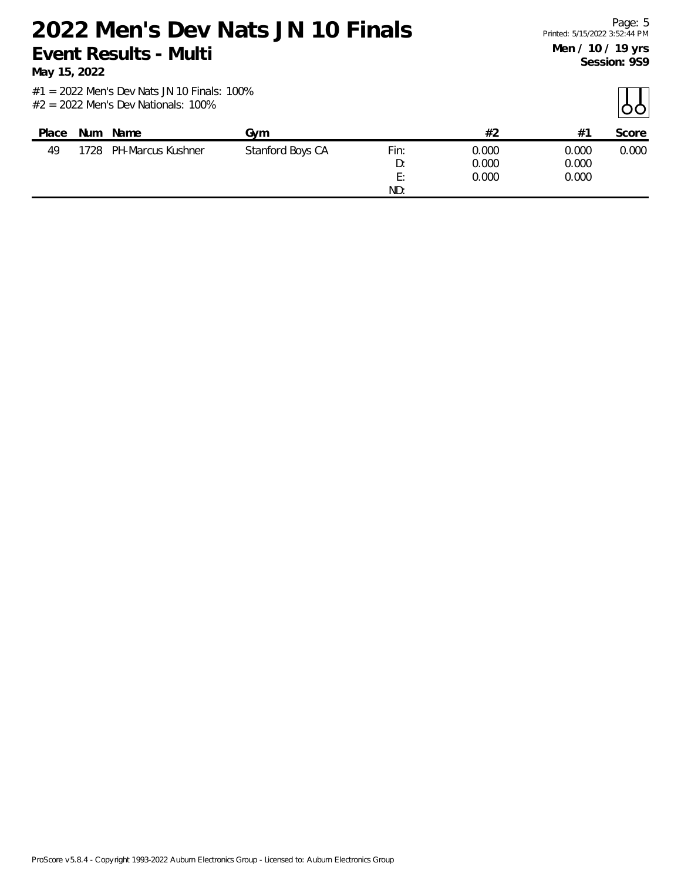**May 15, 2022**

| Place | Num  | Name              | Gvm              |            | #2             | $#^{\sim}$     | Score |
|-------|------|-------------------|------------------|------------|----------------|----------------|-------|
| 49    | 1728 | PH-Marcus Kushner | Stanford Boys CA | Fin:<br>D: | 0.000<br>0.000 | 0.000<br>0.000 | 0.000 |
|       |      |                   |                  | E:         | 0.000          | 0.000          |       |
|       |      |                   |                  | ND:        |                |                |       |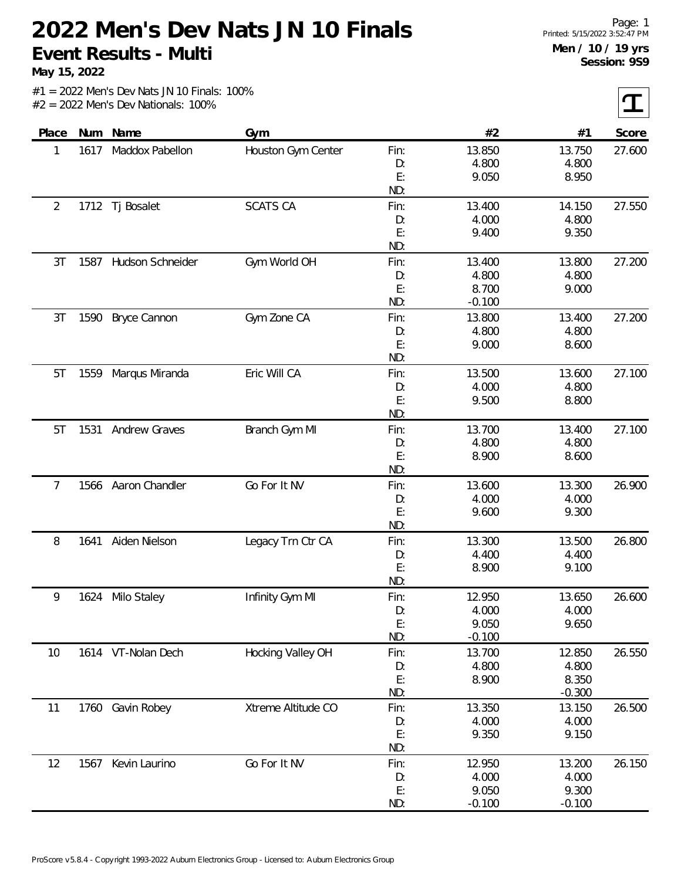**May 15, 2022**

 $\tau$ 

| Score  | #1             | #2             |          | Gym                | Name                | Num  | Place          |
|--------|----------------|----------------|----------|--------------------|---------------------|------|----------------|
| 27.600 | 13.750         | 13.850         | Fin:     | Houston Gym Center | Maddox Pabellon     | 1617 | 1              |
|        | 4.800          | 4.800          | D:       |                    |                     |      |                |
|        | 8.950          | 9.050          | E:       |                    |                     |      |                |
|        |                |                | ND:      |                    |                     |      |                |
| 27.550 | 14.150         | 13.400         | Fin:     | <b>SCATS CA</b>    | Tj Bosalet          | 1712 | $\overline{2}$ |
|        | 4.800          | 4.000          | D:       |                    |                     |      |                |
|        | 9.350          | 9.400          | E:       |                    |                     |      |                |
|        |                |                | ND:      |                    |                     |      |                |
| 27.200 | 13.800         | 13.400         | Fin:     | Gym World OH       | Hudson Schneider    | 1587 | 3T             |
|        | 4.800          | 4.800          | D:       |                    |                     |      |                |
|        | 9.000          | 8.700          | E:       |                    |                     |      |                |
|        |                | $-0.100$       | ND:      |                    |                     |      |                |
| 27.200 | 13.400         | 13.800         | Fin:     | Gym Zone CA        | <b>Bryce Cannon</b> | 1590 | 3T             |
|        | 4.800          | 4.800          | D:       |                    |                     |      |                |
|        | 8.600          | 9.000          | E:       |                    |                     |      |                |
|        |                |                | ND:      |                    |                     |      |                |
| 27.100 | 13.600         | 13.500         | Fin:     | Eric Will CA       | Marqus Miranda      | 1559 | 5T             |
|        | 4.800          | 4.000          | D:       |                    |                     |      |                |
|        | 8.800          | 9.500          | E:       |                    |                     |      |                |
|        |                |                | ND:      |                    |                     |      |                |
| 27.100 | 13.400         | 13.700         | Fin:     | Branch Gym MI      | Andrew Graves       | 1531 | 5T             |
|        | 4.800          | 4.800          | D:       |                    |                     |      |                |
|        | 8.600          | 8.900          | E:       |                    |                     |      |                |
|        |                |                | ND:      |                    |                     |      |                |
| 26.900 | 13.300         | 13.600         | Fin:     | Go For It NV       | Aaron Chandler      | 1566 | 7              |
|        | 4.000<br>9.300 | 4.000<br>9.600 | D:<br>E: |                    |                     |      |                |
|        |                |                | ND:      |                    |                     |      |                |
| 26.800 | 13.500         | 13.300         | Fin:     | Legacy Trn Ctr CA  | Aiden Nielson       | 1641 | 8              |
|        | 4.400          | 4.400          | D:       |                    |                     |      |                |
|        | 9.100          | 8.900          | E:       |                    |                     |      |                |
|        |                |                | ND:      |                    |                     |      |                |
| 26.600 | 13.650         | 12.950         | Fin:     | Infinity Gym MI    | 1624 Milo Staley    |      | 9              |
|        | 4.000          | 4.000          | D:       |                    |                     |      |                |
|        | 9.650          | 9.050          | E:       |                    |                     |      |                |
|        |                | $-0.100$       | ND:      |                    |                     |      |                |
| 26.550 | 12.850         | 13.700         | Fin:     | Hocking Valley OH  | 1614 VT-Nolan Dech  |      | 10             |
|        | 4.800          | 4.800          | D:       |                    |                     |      |                |
|        | 8.350          | 8.900          | E:       |                    |                     |      |                |
|        | $-0.300$       |                | ND:      |                    |                     |      |                |
| 26.500 | 13.150         | 13.350         | Fin:     | Xtreme Altitude CO | 1760 Gavin Robey    |      | 11             |
|        | 4.000          | 4.000          | D:       |                    |                     |      |                |
|        | 9.150          | 9.350          | E:       |                    |                     |      |                |
|        |                |                | ND:      |                    |                     |      |                |
| 26.150 | 13.200         | 12.950         | Fin:     | Go For It NV       | Kevin Laurino       | 1567 | 12             |
|        | 4.000          | 4.000          | D:       |                    |                     |      |                |
|        | 9.300          | 9.050          | E:       |                    |                     |      |                |
|        | $-0.100$       | $-0.100$       | ND:      |                    |                     |      |                |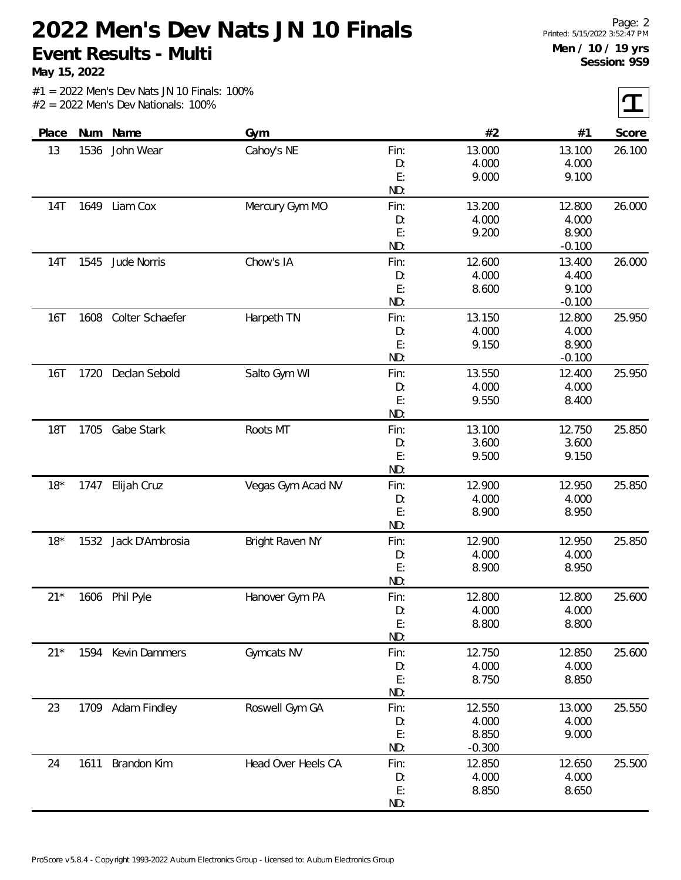**May 15, 2022**

 $|\mathbf{T}|$ 

| #2<br>Num Name<br>Gym<br>#1<br>Score<br>Place<br>Cahoy's NE<br>John Wear<br>13.000<br>13<br>1536<br>Fin:<br>13.100<br>26.100<br>4.000<br>4.000<br>D:<br>E:<br>9.100<br>9.000<br>ND:<br>1649<br>14T<br>Liam Cox<br>Mercury Gym MO<br>Fin:<br>13.200<br>12.800<br>26.000<br>4.000<br>4.000<br>D:<br>E:<br>8.900<br>9.200<br>ND:<br>$-0.100$<br>Chow's IA<br>12.600<br>26.000<br>1545<br>Jude Norris<br>Fin:<br>13.400<br>14T<br>4.000<br>D:<br>4.400<br>E:<br>8.600<br>9.100<br>ND:<br>$-0.100$<br>Colter Schaefer<br>Harpeth TN<br>13.150<br>25.950<br>16T<br>1608<br>12.800<br>Fin:<br>4.000<br>4.000<br>D:<br>E:<br>9.150<br>8.900<br>ND:<br>$-0.100$<br><b>16T</b><br>1720 Declan Sebold<br>Salto Gym WI<br>13.550<br>12.400<br>25.950<br>Fin:<br>4.000<br>4.000<br>D:<br>E:<br>9.550<br>8.400<br>ND:<br>13.100<br><b>18T</b><br>1705<br>Gabe Stark<br>Roots MT<br>Fin:<br>12.750<br>25.850<br>3.600<br>3.600<br>D:<br>E:<br>9.500<br>9.150<br>ND:<br>$18*$<br>12.900<br>12.950<br>25.850<br>Elijah Cruz<br>Vegas Gym Acad NV<br>Fin:<br>1747<br>4.000<br>4.000<br>D:<br>E:<br>8.900<br>8.950<br>ND:<br>$18*$<br>1532<br>Jack D'Ambrosia<br>Bright Raven NY<br>12.950<br>25.850<br>Fin:<br>12.900<br>4.000<br>4.000<br>D:<br>E:<br>8.950<br>8.900<br>ND:<br>12.800<br>$21*$<br>1606 Phil Pyle<br>Hanover Gym PA<br>Fin:<br>12.800<br>D:<br>4.000<br>4.000<br>E:<br>8.800<br>8.800<br>ND:<br>$21*$<br>Kevin Dammers<br>Gymcats NV<br>12.750<br>12.850<br>1594<br>Fin:<br>4.000<br>4.000<br>D:<br>E:<br>8.750<br>8.850<br>ND:<br>1709 Adam Findley<br>Roswell Gym GA<br>23<br>12.550<br>13.000<br>Fin:<br>4.000<br>4.000<br>D:<br>E:<br>8.850<br>9.000<br>ND:<br>$-0.300$<br>Brandon Kim<br>Head Over Heels CA<br>1611<br>12.850<br>12.650<br>24<br>Fin:<br>4.000<br>4.000<br>D:<br>E:<br>8.850<br>8.650<br>ND: |  |  |  |  |
|-----------------------------------------------------------------------------------------------------------------------------------------------------------------------------------------------------------------------------------------------------------------------------------------------------------------------------------------------------------------------------------------------------------------------------------------------------------------------------------------------------------------------------------------------------------------------------------------------------------------------------------------------------------------------------------------------------------------------------------------------------------------------------------------------------------------------------------------------------------------------------------------------------------------------------------------------------------------------------------------------------------------------------------------------------------------------------------------------------------------------------------------------------------------------------------------------------------------------------------------------------------------------------------------------------------------------------------------------------------------------------------------------------------------------------------------------------------------------------------------------------------------------------------------------------------------------------------------------------------------------------------------------------------------------------------------------------------------------------------------------------------------------------------------------------------------|--|--|--|--|
|                                                                                                                                                                                                                                                                                                                                                                                                                                                                                                                                                                                                                                                                                                                                                                                                                                                                                                                                                                                                                                                                                                                                                                                                                                                                                                                                                                                                                                                                                                                                                                                                                                                                                                                                                                                                                 |  |  |  |  |
|                                                                                                                                                                                                                                                                                                                                                                                                                                                                                                                                                                                                                                                                                                                                                                                                                                                                                                                                                                                                                                                                                                                                                                                                                                                                                                                                                                                                                                                                                                                                                                                                                                                                                                                                                                                                                 |  |  |  |  |
|                                                                                                                                                                                                                                                                                                                                                                                                                                                                                                                                                                                                                                                                                                                                                                                                                                                                                                                                                                                                                                                                                                                                                                                                                                                                                                                                                                                                                                                                                                                                                                                                                                                                                                                                                                                                                 |  |  |  |  |
|                                                                                                                                                                                                                                                                                                                                                                                                                                                                                                                                                                                                                                                                                                                                                                                                                                                                                                                                                                                                                                                                                                                                                                                                                                                                                                                                                                                                                                                                                                                                                                                                                                                                                                                                                                                                                 |  |  |  |  |
|                                                                                                                                                                                                                                                                                                                                                                                                                                                                                                                                                                                                                                                                                                                                                                                                                                                                                                                                                                                                                                                                                                                                                                                                                                                                                                                                                                                                                                                                                                                                                                                                                                                                                                                                                                                                                 |  |  |  |  |
|                                                                                                                                                                                                                                                                                                                                                                                                                                                                                                                                                                                                                                                                                                                                                                                                                                                                                                                                                                                                                                                                                                                                                                                                                                                                                                                                                                                                                                                                                                                                                                                                                                                                                                                                                                                                                 |  |  |  |  |
|                                                                                                                                                                                                                                                                                                                                                                                                                                                                                                                                                                                                                                                                                                                                                                                                                                                                                                                                                                                                                                                                                                                                                                                                                                                                                                                                                                                                                                                                                                                                                                                                                                                                                                                                                                                                                 |  |  |  |  |
|                                                                                                                                                                                                                                                                                                                                                                                                                                                                                                                                                                                                                                                                                                                                                                                                                                                                                                                                                                                                                                                                                                                                                                                                                                                                                                                                                                                                                                                                                                                                                                                                                                                                                                                                                                                                                 |  |  |  |  |
|                                                                                                                                                                                                                                                                                                                                                                                                                                                                                                                                                                                                                                                                                                                                                                                                                                                                                                                                                                                                                                                                                                                                                                                                                                                                                                                                                                                                                                                                                                                                                                                                                                                                                                                                                                                                                 |  |  |  |  |
|                                                                                                                                                                                                                                                                                                                                                                                                                                                                                                                                                                                                                                                                                                                                                                                                                                                                                                                                                                                                                                                                                                                                                                                                                                                                                                                                                                                                                                                                                                                                                                                                                                                                                                                                                                                                                 |  |  |  |  |
|                                                                                                                                                                                                                                                                                                                                                                                                                                                                                                                                                                                                                                                                                                                                                                                                                                                                                                                                                                                                                                                                                                                                                                                                                                                                                                                                                                                                                                                                                                                                                                                                                                                                                                                                                                                                                 |  |  |  |  |
|                                                                                                                                                                                                                                                                                                                                                                                                                                                                                                                                                                                                                                                                                                                                                                                                                                                                                                                                                                                                                                                                                                                                                                                                                                                                                                                                                                                                                                                                                                                                                                                                                                                                                                                                                                                                                 |  |  |  |  |
|                                                                                                                                                                                                                                                                                                                                                                                                                                                                                                                                                                                                                                                                                                                                                                                                                                                                                                                                                                                                                                                                                                                                                                                                                                                                                                                                                                                                                                                                                                                                                                                                                                                                                                                                                                                                                 |  |  |  |  |
|                                                                                                                                                                                                                                                                                                                                                                                                                                                                                                                                                                                                                                                                                                                                                                                                                                                                                                                                                                                                                                                                                                                                                                                                                                                                                                                                                                                                                                                                                                                                                                                                                                                                                                                                                                                                                 |  |  |  |  |
|                                                                                                                                                                                                                                                                                                                                                                                                                                                                                                                                                                                                                                                                                                                                                                                                                                                                                                                                                                                                                                                                                                                                                                                                                                                                                                                                                                                                                                                                                                                                                                                                                                                                                                                                                                                                                 |  |  |  |  |
|                                                                                                                                                                                                                                                                                                                                                                                                                                                                                                                                                                                                                                                                                                                                                                                                                                                                                                                                                                                                                                                                                                                                                                                                                                                                                                                                                                                                                                                                                                                                                                                                                                                                                                                                                                                                                 |  |  |  |  |
|                                                                                                                                                                                                                                                                                                                                                                                                                                                                                                                                                                                                                                                                                                                                                                                                                                                                                                                                                                                                                                                                                                                                                                                                                                                                                                                                                                                                                                                                                                                                                                                                                                                                                                                                                                                                                 |  |  |  |  |
|                                                                                                                                                                                                                                                                                                                                                                                                                                                                                                                                                                                                                                                                                                                                                                                                                                                                                                                                                                                                                                                                                                                                                                                                                                                                                                                                                                                                                                                                                                                                                                                                                                                                                                                                                                                                                 |  |  |  |  |
|                                                                                                                                                                                                                                                                                                                                                                                                                                                                                                                                                                                                                                                                                                                                                                                                                                                                                                                                                                                                                                                                                                                                                                                                                                                                                                                                                                                                                                                                                                                                                                                                                                                                                                                                                                                                                 |  |  |  |  |
|                                                                                                                                                                                                                                                                                                                                                                                                                                                                                                                                                                                                                                                                                                                                                                                                                                                                                                                                                                                                                                                                                                                                                                                                                                                                                                                                                                                                                                                                                                                                                                                                                                                                                                                                                                                                                 |  |  |  |  |
|                                                                                                                                                                                                                                                                                                                                                                                                                                                                                                                                                                                                                                                                                                                                                                                                                                                                                                                                                                                                                                                                                                                                                                                                                                                                                                                                                                                                                                                                                                                                                                                                                                                                                                                                                                                                                 |  |  |  |  |
|                                                                                                                                                                                                                                                                                                                                                                                                                                                                                                                                                                                                                                                                                                                                                                                                                                                                                                                                                                                                                                                                                                                                                                                                                                                                                                                                                                                                                                                                                                                                                                                                                                                                                                                                                                                                                 |  |  |  |  |
|                                                                                                                                                                                                                                                                                                                                                                                                                                                                                                                                                                                                                                                                                                                                                                                                                                                                                                                                                                                                                                                                                                                                                                                                                                                                                                                                                                                                                                                                                                                                                                                                                                                                                                                                                                                                                 |  |  |  |  |
|                                                                                                                                                                                                                                                                                                                                                                                                                                                                                                                                                                                                                                                                                                                                                                                                                                                                                                                                                                                                                                                                                                                                                                                                                                                                                                                                                                                                                                                                                                                                                                                                                                                                                                                                                                                                                 |  |  |  |  |
|                                                                                                                                                                                                                                                                                                                                                                                                                                                                                                                                                                                                                                                                                                                                                                                                                                                                                                                                                                                                                                                                                                                                                                                                                                                                                                                                                                                                                                                                                                                                                                                                                                                                                                                                                                                                                 |  |  |  |  |
|                                                                                                                                                                                                                                                                                                                                                                                                                                                                                                                                                                                                                                                                                                                                                                                                                                                                                                                                                                                                                                                                                                                                                                                                                                                                                                                                                                                                                                                                                                                                                                                                                                                                                                                                                                                                                 |  |  |  |  |
|                                                                                                                                                                                                                                                                                                                                                                                                                                                                                                                                                                                                                                                                                                                                                                                                                                                                                                                                                                                                                                                                                                                                                                                                                                                                                                                                                                                                                                                                                                                                                                                                                                                                                                                                                                                                                 |  |  |  |  |
|                                                                                                                                                                                                                                                                                                                                                                                                                                                                                                                                                                                                                                                                                                                                                                                                                                                                                                                                                                                                                                                                                                                                                                                                                                                                                                                                                                                                                                                                                                                                                                                                                                                                                                                                                                                                                 |  |  |  |  |
|                                                                                                                                                                                                                                                                                                                                                                                                                                                                                                                                                                                                                                                                                                                                                                                                                                                                                                                                                                                                                                                                                                                                                                                                                                                                                                                                                                                                                                                                                                                                                                                                                                                                                                                                                                                                                 |  |  |  |  |
|                                                                                                                                                                                                                                                                                                                                                                                                                                                                                                                                                                                                                                                                                                                                                                                                                                                                                                                                                                                                                                                                                                                                                                                                                                                                                                                                                                                                                                                                                                                                                                                                                                                                                                                                                                                                                 |  |  |  |  |
| 25.600<br>25.600<br>25.550<br>25.500                                                                                                                                                                                                                                                                                                                                                                                                                                                                                                                                                                                                                                                                                                                                                                                                                                                                                                                                                                                                                                                                                                                                                                                                                                                                                                                                                                                                                                                                                                                                                                                                                                                                                                                                                                            |  |  |  |  |
|                                                                                                                                                                                                                                                                                                                                                                                                                                                                                                                                                                                                                                                                                                                                                                                                                                                                                                                                                                                                                                                                                                                                                                                                                                                                                                                                                                                                                                                                                                                                                                                                                                                                                                                                                                                                                 |  |  |  |  |
|                                                                                                                                                                                                                                                                                                                                                                                                                                                                                                                                                                                                                                                                                                                                                                                                                                                                                                                                                                                                                                                                                                                                                                                                                                                                                                                                                                                                                                                                                                                                                                                                                                                                                                                                                                                                                 |  |  |  |  |
|                                                                                                                                                                                                                                                                                                                                                                                                                                                                                                                                                                                                                                                                                                                                                                                                                                                                                                                                                                                                                                                                                                                                                                                                                                                                                                                                                                                                                                                                                                                                                                                                                                                                                                                                                                                                                 |  |  |  |  |
|                                                                                                                                                                                                                                                                                                                                                                                                                                                                                                                                                                                                                                                                                                                                                                                                                                                                                                                                                                                                                                                                                                                                                                                                                                                                                                                                                                                                                                                                                                                                                                                                                                                                                                                                                                                                                 |  |  |  |  |
|                                                                                                                                                                                                                                                                                                                                                                                                                                                                                                                                                                                                                                                                                                                                                                                                                                                                                                                                                                                                                                                                                                                                                                                                                                                                                                                                                                                                                                                                                                                                                                                                                                                                                                                                                                                                                 |  |  |  |  |
|                                                                                                                                                                                                                                                                                                                                                                                                                                                                                                                                                                                                                                                                                                                                                                                                                                                                                                                                                                                                                                                                                                                                                                                                                                                                                                                                                                                                                                                                                                                                                                                                                                                                                                                                                                                                                 |  |  |  |  |
|                                                                                                                                                                                                                                                                                                                                                                                                                                                                                                                                                                                                                                                                                                                                                                                                                                                                                                                                                                                                                                                                                                                                                                                                                                                                                                                                                                                                                                                                                                                                                                                                                                                                                                                                                                                                                 |  |  |  |  |
|                                                                                                                                                                                                                                                                                                                                                                                                                                                                                                                                                                                                                                                                                                                                                                                                                                                                                                                                                                                                                                                                                                                                                                                                                                                                                                                                                                                                                                                                                                                                                                                                                                                                                                                                                                                                                 |  |  |  |  |
|                                                                                                                                                                                                                                                                                                                                                                                                                                                                                                                                                                                                                                                                                                                                                                                                                                                                                                                                                                                                                                                                                                                                                                                                                                                                                                                                                                                                                                                                                                                                                                                                                                                                                                                                                                                                                 |  |  |  |  |
|                                                                                                                                                                                                                                                                                                                                                                                                                                                                                                                                                                                                                                                                                                                                                                                                                                                                                                                                                                                                                                                                                                                                                                                                                                                                                                                                                                                                                                                                                                                                                                                                                                                                                                                                                                                                                 |  |  |  |  |
|                                                                                                                                                                                                                                                                                                                                                                                                                                                                                                                                                                                                                                                                                                                                                                                                                                                                                                                                                                                                                                                                                                                                                                                                                                                                                                                                                                                                                                                                                                                                                                                                                                                                                                                                                                                                                 |  |  |  |  |
|                                                                                                                                                                                                                                                                                                                                                                                                                                                                                                                                                                                                                                                                                                                                                                                                                                                                                                                                                                                                                                                                                                                                                                                                                                                                                                                                                                                                                                                                                                                                                                                                                                                                                                                                                                                                                 |  |  |  |  |
|                                                                                                                                                                                                                                                                                                                                                                                                                                                                                                                                                                                                                                                                                                                                                                                                                                                                                                                                                                                                                                                                                                                                                                                                                                                                                                                                                                                                                                                                                                                                                                                                                                                                                                                                                                                                                 |  |  |  |  |
|                                                                                                                                                                                                                                                                                                                                                                                                                                                                                                                                                                                                                                                                                                                                                                                                                                                                                                                                                                                                                                                                                                                                                                                                                                                                                                                                                                                                                                                                                                                                                                                                                                                                                                                                                                                                                 |  |  |  |  |
|                                                                                                                                                                                                                                                                                                                                                                                                                                                                                                                                                                                                                                                                                                                                                                                                                                                                                                                                                                                                                                                                                                                                                                                                                                                                                                                                                                                                                                                                                                                                                                                                                                                                                                                                                                                                                 |  |  |  |  |
|                                                                                                                                                                                                                                                                                                                                                                                                                                                                                                                                                                                                                                                                                                                                                                                                                                                                                                                                                                                                                                                                                                                                                                                                                                                                                                                                                                                                                                                                                                                                                                                                                                                                                                                                                                                                                 |  |  |  |  |
|                                                                                                                                                                                                                                                                                                                                                                                                                                                                                                                                                                                                                                                                                                                                                                                                                                                                                                                                                                                                                                                                                                                                                                                                                                                                                                                                                                                                                                                                                                                                                                                                                                                                                                                                                                                                                 |  |  |  |  |
|                                                                                                                                                                                                                                                                                                                                                                                                                                                                                                                                                                                                                                                                                                                                                                                                                                                                                                                                                                                                                                                                                                                                                                                                                                                                                                                                                                                                                                                                                                                                                                                                                                                                                                                                                                                                                 |  |  |  |  |
|                                                                                                                                                                                                                                                                                                                                                                                                                                                                                                                                                                                                                                                                                                                                                                                                                                                                                                                                                                                                                                                                                                                                                                                                                                                                                                                                                                                                                                                                                                                                                                                                                                                                                                                                                                                                                 |  |  |  |  |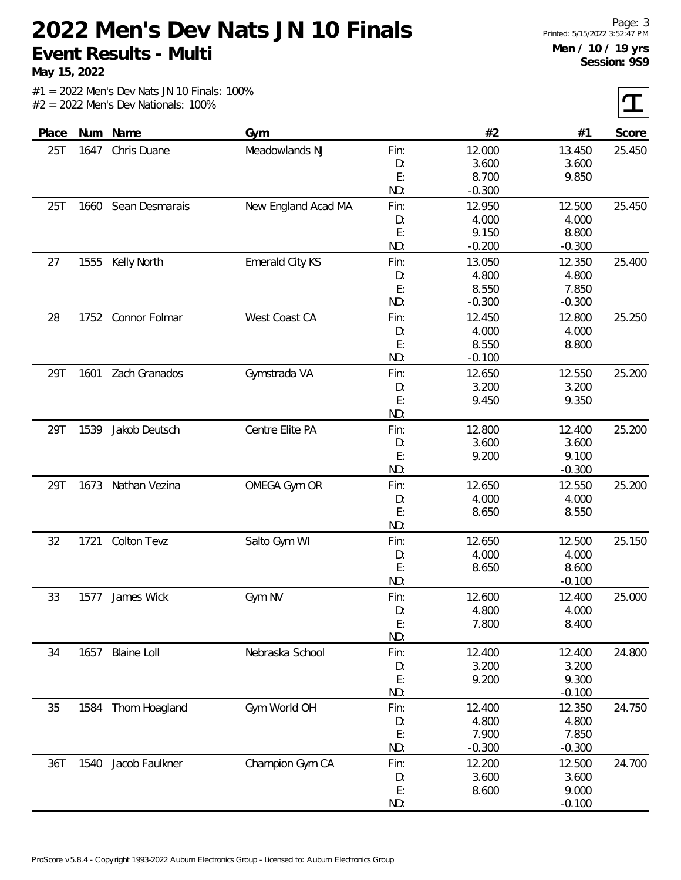**May 15, 2022**

 $\tau$ 

| Place |      | Num Name            | Gym                    |      | #2       | #1       | Score  |
|-------|------|---------------------|------------------------|------|----------|----------|--------|
| 25T   | 1647 | Chris Duane         | Meadowlands NJ         | Fin: | 12.000   | 13.450   | 25.450 |
|       |      |                     |                        | D:   | 3.600    | 3.600    |        |
|       |      |                     |                        | E:   | 8.700    | 9.850    |        |
|       |      |                     |                        | ND:  | $-0.300$ |          |        |
| 25T   |      | 1660 Sean Desmarais | New England Acad MA    | Fin: | 12.950   | 12.500   | 25.450 |
|       |      |                     |                        | D:   | 4.000    | 4.000    |        |
|       |      |                     |                        | E:   | 9.150    | 8.800    |        |
|       |      |                     |                        | ND:  | $-0.200$ | $-0.300$ |        |
| 27    | 1555 | <b>Kelly North</b>  | <b>Emerald City KS</b> | Fin: | 13.050   | 12.350   | 25.400 |
|       |      |                     |                        | D:   | 4.800    | 4.800    |        |
|       |      |                     |                        | E:   | 8.550    | 7.850    |        |
|       |      |                     |                        | ND:  | $-0.300$ | $-0.300$ |        |
| 28    | 1752 | Connor Folmar       | West Coast CA          | Fin: | 12.450   | 12.800   | 25.250 |
|       |      |                     |                        | D:   | 4.000    | 4.000    |        |
|       |      |                     |                        | E:   | 8.550    | 8.800    |        |
|       |      |                     |                        | ND:  | $-0.100$ |          |        |
| 29T   | 1601 | Zach Granados       | Gymstrada VA           | Fin: | 12.650   | 12.550   | 25.200 |
|       |      |                     |                        | D:   | 3.200    | 3.200    |        |
|       |      |                     |                        | E:   | 9.450    | 9.350    |        |
|       |      |                     |                        | ND:  |          |          |        |
| 29T   | 1539 | Jakob Deutsch       | Centre Elite PA        | Fin: | 12.800   | 12.400   | 25.200 |
|       |      |                     |                        | D:   | 3.600    | 3.600    |        |
|       |      |                     |                        | E:   | 9.200    | 9.100    |        |
|       |      |                     |                        | ND:  |          | $-0.300$ |        |
| 29T   |      | 1673 Nathan Vezina  | OMEGA Gym OR           | Fin: | 12.650   | 12.550   | 25.200 |
|       |      |                     |                        | D:   | 4.000    | 4.000    |        |
|       |      |                     |                        | E:   | 8.650    | 8.550    |        |
|       |      |                     |                        | ND:  |          |          |        |
| 32    | 1721 | Colton Tevz         | Salto Gym WI           | Fin: | 12.650   | 12.500   | 25.150 |
|       |      |                     |                        | D:   | 4.000    | 4.000    |        |
|       |      |                     |                        | E:   | 8.650    | 8.600    |        |
|       |      |                     |                        | ND:  |          | $-0.100$ |        |
| 33    | 1577 | James Wick          | Gym NV                 | Fin: | 12.600   | 12.400   | 25.000 |
|       |      |                     |                        | D:   | 4.800    | 4.000    |        |
|       |      |                     |                        | E:   | 7.800    | 8.400    |        |
|       |      |                     |                        | ND:  |          |          |        |
| 34    | 1657 | <b>Blaine Loll</b>  | Nebraska School        | Fin: | 12.400   | 12.400   | 24.800 |
|       |      |                     |                        | D:   | 3.200    | 3.200    |        |
|       |      |                     |                        | E:   | 9.200    | 9.300    |        |
|       |      |                     |                        | ND:  |          | $-0.100$ |        |
| 35    | 1584 | Thom Hoagland       | Gym World OH           | Fin: | 12.400   | 12.350   | 24.750 |
|       |      |                     |                        | D:   | 4.800    | 4.800    |        |
|       |      |                     |                        | E:   | 7.900    | 7.850    |        |
|       |      |                     |                        | ND:  | $-0.300$ | $-0.300$ |        |
| 36T   | 1540 | Jacob Faulkner      | Champion Gym CA        | Fin: | 12.200   | 12.500   | 24.700 |
|       |      |                     |                        | D:   | 3.600    | 3.600    |        |
|       |      |                     |                        | E:   | 8.600    | 9.000    |        |
|       |      |                     |                        | ND:  |          | $-0.100$ |        |
|       |      |                     |                        |      |          |          |        |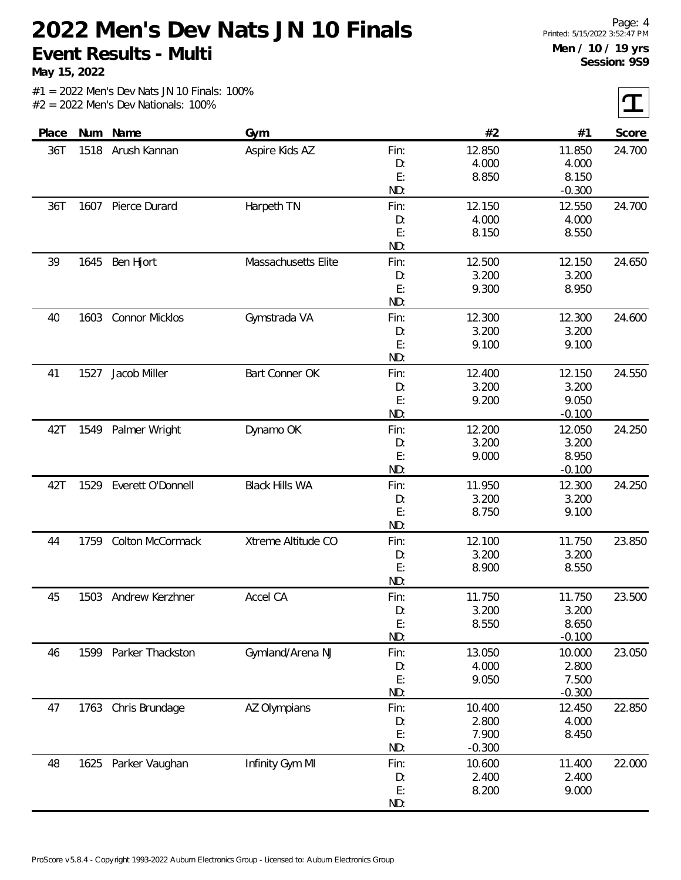**May 15, 2022**

 $\tau$ 

| Place | Num  | Name                  | Gym                   |      | #2       | #1       | Score  |
|-------|------|-----------------------|-----------------------|------|----------|----------|--------|
| 36T   | 1518 | Arush Kannan          | Aspire Kids AZ        | Fin: | 12.850   | 11.850   | 24.700 |
|       |      |                       |                       | D:   | 4.000    | 4.000    |        |
|       |      |                       |                       | E:   | 8.850    | 8.150    |        |
|       |      |                       |                       | ND:  |          | $-0.300$ |        |
| 36T   |      | 1607 Pierce Durard    | Harpeth TN            | Fin: | 12.150   | 12.550   | 24.700 |
|       |      |                       |                       | D:   | 4.000    | 4.000    |        |
|       |      |                       |                       | E:   | 8.150    | 8.550    |        |
|       |      |                       |                       | ND:  |          |          |        |
| 39    | 1645 | Ben Hjort             | Massachusetts Elite   | Fin: | 12.500   | 12.150   | 24.650 |
|       |      |                       |                       | D:   | 3.200    | 3.200    |        |
|       |      |                       |                       | E:   | 9.300    | 8.950    |        |
|       |      |                       |                       | ND:  |          |          |        |
| 40    | 1603 | Connor Micklos        | Gymstrada VA          | Fin: | 12.300   | 12.300   | 24.600 |
|       |      |                       |                       | D:   | 3.200    | 3.200    |        |
|       |      |                       |                       | E:   | 9.100    | 9.100    |        |
|       |      |                       |                       | ND:  |          |          |        |
| 41    | 1527 | Jacob Miller          | Bart Conner OK        | Fin: | 12.400   | 12.150   | 24.550 |
|       |      |                       |                       | D:   | 3.200    | 3.200    |        |
|       |      |                       |                       | E:   | 9.200    | 9.050    |        |
|       |      |                       |                       | ND:  |          | $-0.100$ |        |
| 42T   |      | 1549 Palmer Wright    | Dynamo OK             | Fin: | 12.200   | 12.050   | 24.250 |
|       |      |                       |                       | D:   | 3.200    | 3.200    |        |
|       |      |                       |                       | E:   | 9.000    | 8.950    |        |
|       |      |                       |                       | ND:  |          | $-0.100$ |        |
| 42T   | 1529 | Everett O'Donnell     | <b>Black Hills WA</b> | Fin: | 11.950   | 12.300   | 24.250 |
|       |      |                       |                       | D:   | 3.200    | 3.200    |        |
|       |      |                       |                       | E:   | 8.750    | 9.100    |        |
|       |      |                       |                       | ND:  |          |          |        |
| 44    | 1759 | Colton McCormack      | Xtreme Altitude CO    | Fin: | 12.100   | 11.750   | 23.850 |
|       |      |                       |                       | D:   | 3.200    | 3.200    |        |
|       |      |                       |                       | E:   | 8.900    | 8.550    |        |
|       |      |                       |                       | ND:  |          |          |        |
| 45    | 1503 | Andrew Kerzhner       | Accel CA              | Fin: | 11.750   | 11.750   | 23.500 |
|       |      |                       |                       | D:   | 3.200    | 3.200    |        |
|       |      |                       |                       | E:   | 8.550    | 8.650    |        |
|       |      |                       |                       | ND:  |          | $-0.100$ |        |
| 46    |      | 1599 Parker Thackston | Gymland/Arena NJ      | Fin: | 13.050   | 10.000   | 23.050 |
|       |      |                       |                       | D:   | 4.000    | 2.800    |        |
|       |      |                       |                       | E:   | 9.050    | 7.500    |        |
|       |      |                       |                       | ND:  |          | $-0.300$ |        |
| 47    |      | 1763 Chris Brundage   | AZ Olympians          | Fin: | 10.400   | 12.450   | 22.850 |
|       |      |                       |                       | D:   | 2.800    | 4.000    |        |
|       |      |                       |                       | E:   | 7.900    | 8.450    |        |
|       |      |                       |                       | ND:  | $-0.300$ |          |        |
| 48    | 1625 | Parker Vaughan        | Infinity Gym MI       | Fin: | 10.600   | 11.400   | 22.000 |
|       |      |                       |                       | D:   | 2.400    | 2.400    |        |
|       |      |                       |                       | E:   | 8.200    | 9.000    |        |
|       |      |                       |                       | ND:  |          |          |        |
|       |      |                       |                       |      |          |          |        |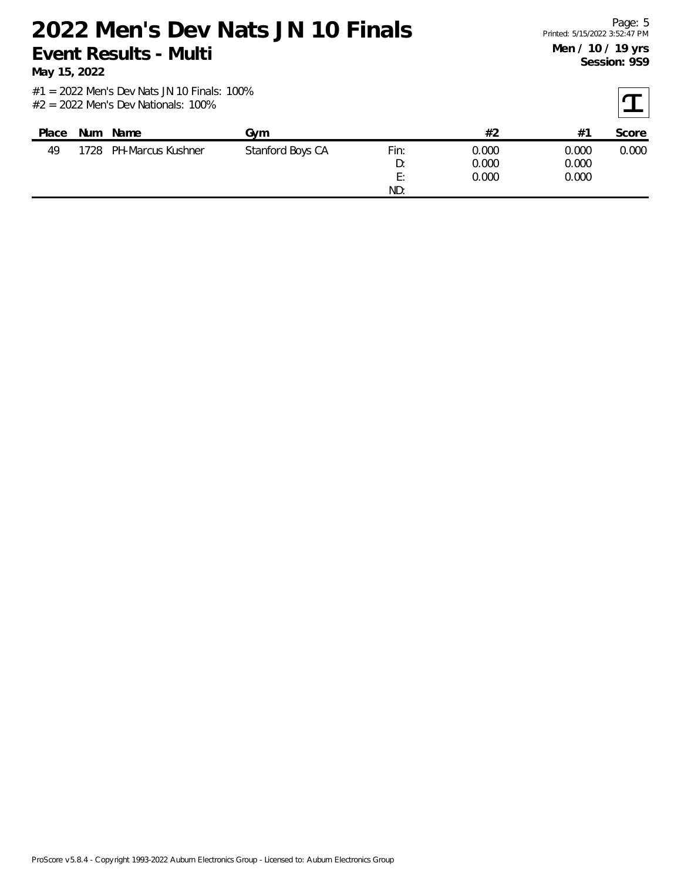**May 15, 2022**

| Place | <b>Num</b> | Name                   | Gvm              |      | #2    | $#^{\sim}$ | Score |
|-------|------------|------------------------|------------------|------|-------|------------|-------|
| 49    |            | 1728 PH-Marcus Kushner | Stanford Boys CA | Fin: | 0.000 | 0.000      | 0.000 |
|       |            |                        |                  | D:   | 0.000 | 0.000      |       |
|       |            |                        |                  | E:   | 0.000 | 0.000      |       |
|       |            |                        |                  | ND:  |       |            |       |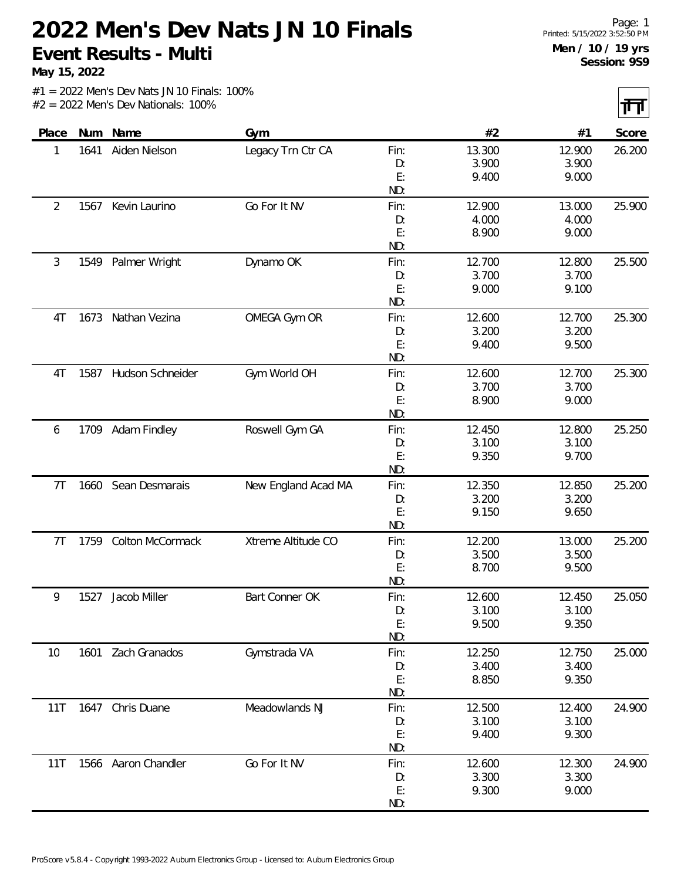**May 15, 2022**

 $|\mathbf{H}|$ 

|                |      |                     |                     |      |        |        | $\mathbf{r}$ |
|----------------|------|---------------------|---------------------|------|--------|--------|--------------|
| Place          | Num  | Name                | Gym                 |      | #2     | #1     | Score        |
| 1              | 1641 | Aiden Nielson       | Legacy Trn Ctr CA   | Fin: | 13.300 | 12.900 | 26.200       |
|                |      |                     |                     | D:   | 3.900  | 3.900  |              |
|                |      |                     |                     | E:   | 9.400  | 9.000  |              |
|                |      |                     |                     | ND:  |        |        |              |
| $\overline{2}$ | 1567 | Kevin Laurino       | Go For It NV        | Fin: | 12.900 | 13.000 | 25.900       |
|                |      |                     |                     | D:   | 4.000  | 4.000  |              |
|                |      |                     |                     | E:   | 8.900  | 9.000  |              |
|                |      |                     |                     | ND:  |        |        |              |
| 3              | 1549 | Palmer Wright       | Dynamo OK           | Fin: | 12.700 | 12.800 | 25.500       |
|                |      |                     |                     | D:   | 3.700  | 3.700  |              |
|                |      |                     |                     | E:   | 9.000  | 9.100  |              |
|                |      |                     |                     | ND:  |        |        |              |
| 4T             | 1673 | Nathan Vezina       | OMEGA Gym OR        | Fin: | 12.600 | 12.700 | 25.300       |
|                |      |                     |                     | D:   | 3.200  | 3.200  |              |
|                |      |                     |                     | E:   | 9.400  | 9.500  |              |
|                |      |                     |                     | ND:  |        |        |              |
| 4T             | 1587 | Hudson Schneider    | Gym World OH        | Fin: | 12.600 | 12.700 | 25.300       |
|                |      |                     |                     | D:   | 3.700  | 3.700  |              |
|                |      |                     |                     | E:   | 8.900  | 9.000  |              |
|                |      |                     |                     | ND:  |        |        |              |
| 6              |      | 1709 Adam Findley   | Roswell Gym GA      | Fin: | 12.450 | 12.800 | 25.250       |
|                |      |                     |                     | D:   | 3.100  | 3.100  |              |
|                |      |                     |                     | E:   | 9.350  | 9.700  |              |
|                |      |                     |                     | ND:  |        |        |              |
| 7 <sub>T</sub> | 1660 | Sean Desmarais      | New England Acad MA | Fin: | 12.350 | 12.850 | 25.200       |
|                |      |                     |                     | D:   | 3.200  | 3.200  |              |
|                |      |                     |                     | E:   | 9.150  | 9.650  |              |
|                |      |                     |                     | ND:  |        |        |              |
| 7T             | 1759 | Colton McCormack    | Xtreme Altitude CO  | Fin: | 12.200 | 13.000 | 25.200       |
|                |      |                     |                     | D:   | 3.500  | 3.500  |              |
|                |      |                     |                     | E:   | 8.700  | 9.500  |              |
|                |      |                     |                     | ND:  |        |        |              |
| 9              | 1527 | Jacob Miller        | Bart Conner OK      | Fin: | 12.600 | 12.450 | 25.050       |
|                |      |                     |                     | D:   | 3.100  | 3.100  |              |
|                |      |                     |                     | E:   | 9.500  | 9.350  |              |
|                |      |                     |                     | ND:  |        |        |              |
| 10             | 1601 | Zach Granados       | Gymstrada VA        | Fin: | 12.250 | 12.750 | 25.000       |
|                |      |                     |                     | D:   | 3.400  | 3.400  |              |
|                |      |                     |                     | E:   | 8.850  | 9.350  |              |
|                |      |                     |                     | ND:  |        |        |              |
| 11T            |      | 1647 Chris Duane    | Meadowlands NJ      | Fin: | 12.500 | 12.400 | 24.900       |
|                |      |                     |                     | D:   | 3.100  | 3.100  |              |
|                |      |                     |                     | E:   | 9.400  | 9.300  |              |
|                |      |                     |                     | ND:  |        |        |              |
| 11T            |      | 1566 Aaron Chandler | Go For It NV        | Fin: | 12.600 | 12.300 | 24.900       |
|                |      |                     |                     | D:   | 3.300  | 3.300  |              |
|                |      |                     |                     | E:   | 9.300  | 9.000  |              |
|                |      |                     |                     | ND:  |        |        |              |
|                |      |                     |                     |      |        |        |              |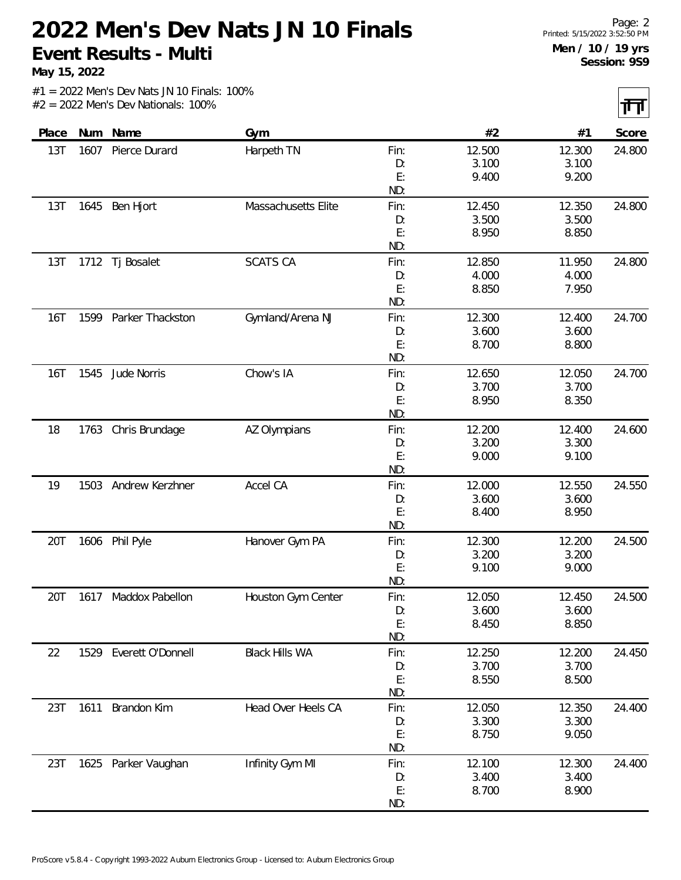**May 15, 2022**

 $|\mathbf{H}|$ 

|       |      |                        |                       |      |        |        | $\mathbf{r}$ |
|-------|------|------------------------|-----------------------|------|--------|--------|--------------|
| Place |      | Num Name               | Gym                   |      | #2     | #1     | Score        |
| 13T   | 1607 | Pierce Durard          | Harpeth TN            | Fin: | 12.500 | 12.300 | 24.800       |
|       |      |                        |                       | D:   | 3.100  | 3.100  |              |
|       |      |                        |                       | E:   | 9.400  | 9.200  |              |
|       |      |                        |                       | ND:  |        |        |              |
| 13T   | 1645 | Ben Hjort              | Massachusetts Elite   | Fin: | 12.450 | 12.350 | 24.800       |
|       |      |                        |                       | D:   | 3.500  | 3.500  |              |
|       |      |                        |                       | E:   | 8.950  | 8.850  |              |
|       |      |                        |                       | ND:  |        |        |              |
| 13T   | 1712 | Tj Bosalet             | <b>SCATS CA</b>       | Fin: | 12.850 | 11.950 | 24.800       |
|       |      |                        |                       | D:   | 4.000  | 4.000  |              |
|       |      |                        |                       | E:   | 8.850  | 7.950  |              |
|       |      |                        |                       | ND:  |        |        |              |
| 16T   | 1599 | Parker Thackston       | Gymland/Arena NJ      | Fin: | 12.300 | 12.400 | 24.700       |
|       |      |                        |                       | D:   | 3.600  | 3.600  |              |
|       |      |                        |                       | E:   | 8.700  | 8.800  |              |
|       |      |                        |                       | ND:  |        |        |              |
| 16T   | 1545 | Jude Norris            | Chow's IA             | Fin: | 12.650 | 12.050 | 24.700       |
|       |      |                        |                       | D:   | 3.700  | 3.700  |              |
|       |      |                        |                       | E:   | 8.950  | 8.350  |              |
|       |      |                        |                       | ND:  |        |        |              |
| 18    | 1763 | Chris Brundage         | AZ Olympians          | Fin: | 12.200 | 12.400 | 24.600       |
|       |      |                        |                       | D:   | 3.200  | 3.300  |              |
|       |      |                        |                       | E:   | 9.000  | 9.100  |              |
|       |      |                        |                       | ND:  |        |        |              |
| 19    | 1503 | Andrew Kerzhner        | Accel CA              | Fin: | 12.000 | 12.550 | 24.550       |
|       |      |                        |                       | D:   | 3.600  | 3.600  |              |
|       |      |                        |                       | E:   | 8.400  | 8.950  |              |
|       |      |                        |                       | ND:  |        |        |              |
| 20T   |      | 1606 Phil Pyle         | Hanover Gym PA        | Fin: | 12.300 | 12.200 | 24.500       |
|       |      |                        |                       | D:   | 3.200  | 3.200  |              |
|       |      |                        |                       | E:   | 9.100  | 9.000  |              |
|       |      |                        |                       | ND:  |        |        |              |
| 20T   | 1617 | Maddox Pabellon        | Houston Gym Center    | Fin: | 12.050 | 12.450 | 24.500       |
|       |      |                        |                       | D:   | 3.600  | 3.600  |              |
|       |      |                        |                       | E:   | 8.450  | 8.850  |              |
|       |      |                        |                       | ND:  |        |        |              |
| 22    |      | 1529 Everett O'Donnell | <b>Black Hills WA</b> | Fin: | 12.250 | 12.200 | 24.450       |
|       |      |                        |                       | D:   | 3.700  | 3.700  |              |
|       |      |                        |                       | E:   | 8.550  | 8.500  |              |
|       |      |                        |                       | ND:  |        |        |              |
| 23T   | 1611 | Brandon Kim            | Head Over Heels CA    | Fin: | 12.050 | 12.350 | 24.400       |
|       |      |                        |                       | D:   | 3.300  | 3.300  |              |
|       |      |                        |                       | E:   | 8.750  | 9.050  |              |
|       |      |                        |                       | ND:  |        |        |              |
| 23T   |      | 1625 Parker Vaughan    | Infinity Gym MI       | Fin: | 12.100 | 12.300 | 24.400       |
|       |      |                        |                       | D:   | 3.400  | 3.400  |              |
|       |      |                        |                       | E:   | 8.700  | 8.900  |              |
|       |      |                        |                       | ND:  |        |        |              |
|       |      |                        |                       |      |        |        |              |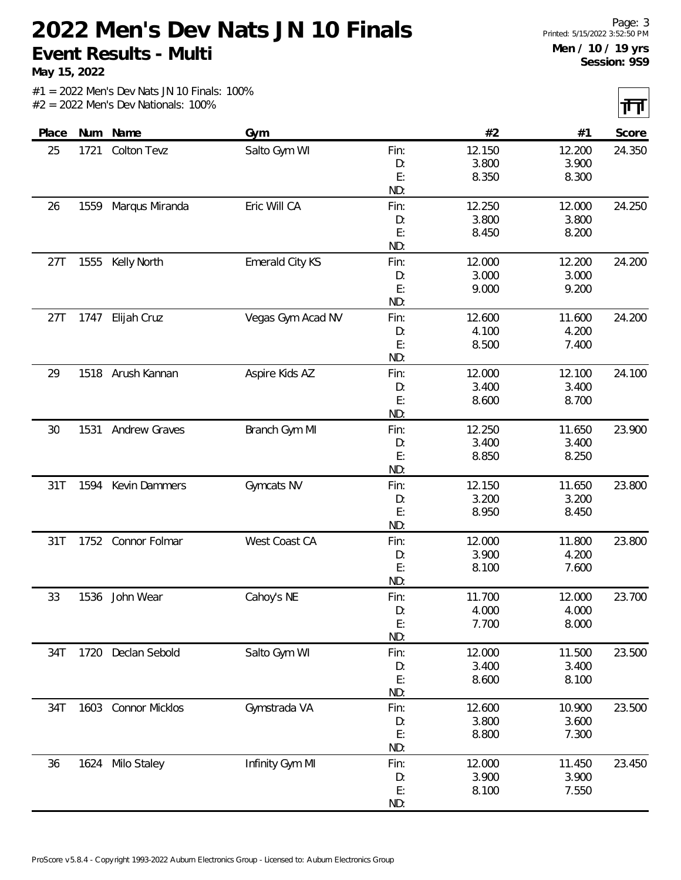**May 15, 2022**

 $|\mathbf{H}|$ 

|       |      |                       |                   |          |        |                | $\sim$ $\sim$ |
|-------|------|-----------------------|-------------------|----------|--------|----------------|---------------|
| Place | Num  | Name                  | Gym               |          | #2     | #1             | Score         |
| 25    | 1721 | Colton Tevz           | Salto Gym WI      | Fin:     | 12.150 | 12.200         | 24.350        |
|       |      |                       |                   | D:       | 3.800  | 3.900          |               |
|       |      |                       |                   | E:       | 8.350  | 8.300          |               |
|       |      |                       |                   | ND:      |        |                |               |
| 26    | 1559 | Marqus Miranda        | Eric Will CA      | Fin:     | 12.250 | 12.000         | 24.250        |
|       |      |                       |                   | D:       | 3.800  | 3.800          |               |
|       |      |                       |                   | E:       | 8.450  | 8.200          |               |
|       |      |                       |                   | ND:      |        |                |               |
| 27T   | 1555 | Kelly North           | Emerald City KS   | Fin:     | 12.000 | 12.200         | 24.200        |
|       |      |                       |                   | D:       | 3.000  | 3.000          |               |
|       |      |                       |                   | E:       | 9.000  | 9.200          |               |
|       |      |                       |                   | ND:      |        |                |               |
| 27T   | 1747 | Elijah Cruz           | Vegas Gym Acad NV | Fin:     | 12.600 | 11.600         | 24.200        |
|       |      |                       |                   | D:       | 4.100  | 4.200          |               |
|       |      |                       |                   | E:       | 8.500  | 7.400          |               |
|       |      |                       |                   | ND:      |        |                |               |
| 29    |      | 1518 Arush Kannan     | Aspire Kids AZ    | Fin:     | 12.000 | 12.100         | 24.100        |
|       |      |                       |                   | D:       | 3.400  | 3.400          |               |
|       |      |                       |                   | E:       | 8.600  | 8.700          |               |
|       |      |                       |                   | ND:      |        |                |               |
| 30    | 1531 | Andrew Graves         | Branch Gym MI     | Fin:     | 12.250 | 11.650         | 23.900        |
|       |      |                       |                   | D:<br>E: | 3.400  | 3.400<br>8.250 |               |
|       |      |                       |                   | ND:      | 8.850  |                |               |
| 31T   | 1594 | Kevin Dammers         | Gymcats NV        | Fin:     | 12.150 | 11.650         | 23.800        |
|       |      |                       |                   | D:       | 3.200  | 3.200          |               |
|       |      |                       |                   | E:       | 8.950  | 8.450          |               |
|       |      |                       |                   | ND:      |        |                |               |
| 31T   | 1752 | Connor Folmar         | West Coast CA     | Fin:     | 12.000 | 11.800         | 23.800        |
|       |      |                       |                   | D:       | 3.900  | 4.200          |               |
|       |      |                       |                   | E:       | 8.100  | 7.600          |               |
|       |      |                       |                   | ND:      |        |                |               |
| 33    | 1536 | John Wear             | Cahoy's NE        | Fin:     | 11.700 | 12.000         | 23.700        |
|       |      |                       |                   | D:       | 4.000  | 4.000          |               |
|       |      |                       |                   | E:       | 7.700  | 8.000          |               |
|       |      |                       |                   | ND:      |        |                |               |
| 34T   | 1720 | Declan Sebold         | Salto Gym WI      | Fin:     | 12.000 | 11.500         | 23.500        |
|       |      |                       |                   | D:       | 3.400  | 3.400          |               |
|       |      |                       |                   | E:       | 8.600  | 8.100          |               |
|       |      |                       |                   | ND:      |        |                |               |
| 34T   | 1603 | <b>Connor Micklos</b> | Gymstrada VA      | Fin:     | 12.600 | 10.900         | 23.500        |
|       |      |                       |                   | D:       | 3.800  | 3.600          |               |
|       |      |                       |                   | E:       | 8.800  | 7.300          |               |
|       |      |                       |                   | ND:      |        |                |               |
| 36    |      | 1624 Milo Staley      | Infinity Gym MI   | Fin:     | 12.000 | 11.450         | 23.450        |
|       |      |                       |                   | D:       | 3.900  | 3.900          |               |
|       |      |                       |                   | E:       | 8.100  | 7.550          |               |
|       |      |                       |                   | ND:      |        |                |               |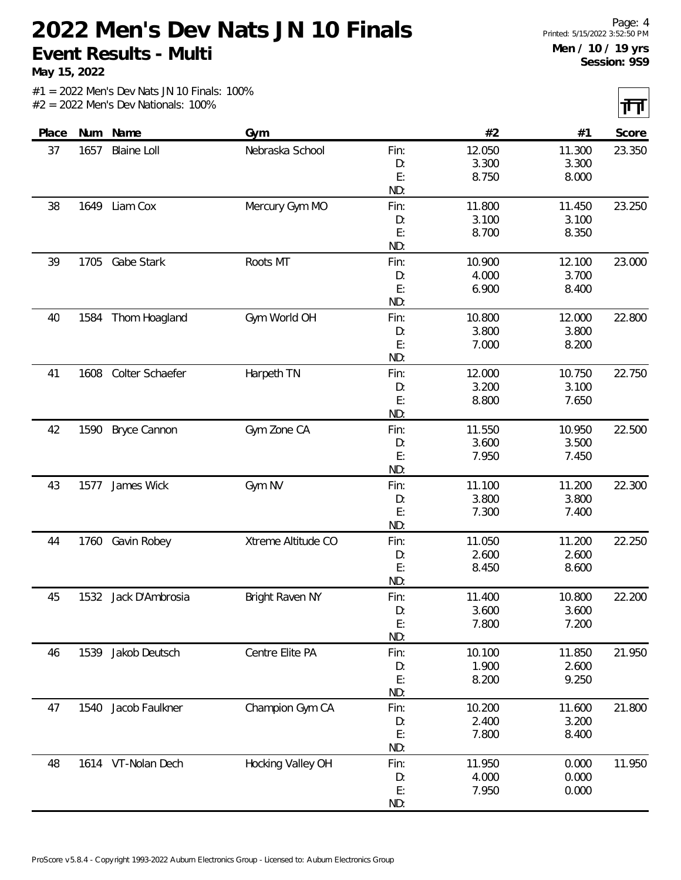**May 15, 2022**

 $|\mathbf{H}|$ 

|       |      |                      |                        |            |                 |                 | $\sim$ $\sim$ |
|-------|------|----------------------|------------------------|------------|-----------------|-----------------|---------------|
| Place | Num  | Name                 | Gym                    |            | #2              | #1              | Score         |
| 37    | 1657 | <b>Blaine Loll</b>   | Nebraska School        | Fin:       | 12.050          | 11.300          | 23.350        |
|       |      |                      |                        | D:         | 3.300           | 3.300           |               |
|       |      |                      |                        | E:         | 8.750           | 8.000           |               |
|       |      |                      |                        | ND:        |                 |                 |               |
| 38    | 1649 | Liam Cox             | Mercury Gym MO         | Fin:       | 11.800          | 11.450          | 23.250        |
|       |      |                      |                        | D:         | 3.100           | 3.100           |               |
|       |      |                      |                        | E:         | 8.700           | 8.350           |               |
|       |      |                      |                        | ND:        |                 |                 |               |
| 39    | 1705 | Gabe Stark           | Roots MT               | Fin:       | 10.900          | 12.100          | 23.000        |
|       |      |                      |                        | D:         | 4.000           | 3.700           |               |
|       |      |                      |                        | E:         | 6.900           | 8.400           |               |
|       |      |                      |                        | ND:        |                 |                 |               |
| 40    | 1584 | Thom Hoagland        | Gym World OH           | Fin:       | 10.800          | 12.000          | 22.800        |
|       |      |                      |                        | D:         | 3.800           | 3.800           |               |
|       |      |                      |                        | E:         | 7.000           | 8.200           |               |
|       |      |                      |                        | ND:        |                 |                 |               |
| 41    | 1608 | Colter Schaefer      | Harpeth TN             | Fin:       | 12.000          | 10.750          | 22.750        |
|       |      |                      |                        | D:         | 3.200           | 3.100           |               |
|       |      |                      |                        | E:<br>ND:  | 8.800           | 7.650           |               |
|       |      |                      |                        |            |                 |                 |               |
| 42    | 1590 | Bryce Cannon         | Gym Zone CA            | Fin:<br>D: | 11.550<br>3.600 | 10.950<br>3.500 | 22.500        |
|       |      |                      |                        | E:         | 7.950           | 7.450           |               |
|       |      |                      |                        | ND:        |                 |                 |               |
| 43    | 1577 | James Wick           | Gym NV                 | Fin:       | 11.100          | 11.200          | 22.300        |
|       |      |                      |                        | D:         | 3.800           | 3.800           |               |
|       |      |                      |                        | E:         | 7.300           | 7.400           |               |
|       |      |                      |                        | ND:        |                 |                 |               |
| 44    | 1760 | Gavin Robey          | Xtreme Altitude CO     | Fin:       | 11.050          | 11.200          | 22.250        |
|       |      |                      |                        | D:         | 2.600           | 2.600           |               |
|       |      |                      |                        | E:         | 8.450           | 8.600           |               |
|       |      |                      |                        | ND:        |                 |                 |               |
| 45    |      | 1532 Jack D'Ambrosia | <b>Bright Raven NY</b> | Fin:       | 11.400          | 10.800          | 22.200        |
|       |      |                      |                        | D:         | 3.600           | 3.600           |               |
|       |      |                      |                        | E:         | 7.800           | 7.200           |               |
|       |      |                      |                        | ND:        |                 |                 |               |
| 46    | 1539 | Jakob Deutsch        | Centre Elite PA        | Fin:       | 10.100          | 11.850          | 21.950        |
|       |      |                      |                        | D:         | 1.900           | 2.600           |               |
|       |      |                      |                        | E:         | 8.200           | 9.250           |               |
|       |      |                      |                        | ND:        |                 |                 |               |
| 47    | 1540 | Jacob Faulkner       | Champion Gym CA        | Fin:       | 10.200          | 11.600          | 21.800        |
|       |      |                      |                        | D:         | 2.400           | 3.200           |               |
|       |      |                      |                        | E:         | 7.800           | 8.400           |               |
|       |      |                      |                        | ND:        |                 |                 |               |
| 48    |      | 1614 VT-Nolan Dech   | Hocking Valley OH      | Fin:       | 11.950          | 0.000           | 11.950        |
|       |      |                      |                        | D:<br>E:   | 4.000<br>7.950  | 0.000           |               |
|       |      |                      |                        | ND:        |                 | 0.000           |               |
|       |      |                      |                        |            |                 |                 |               |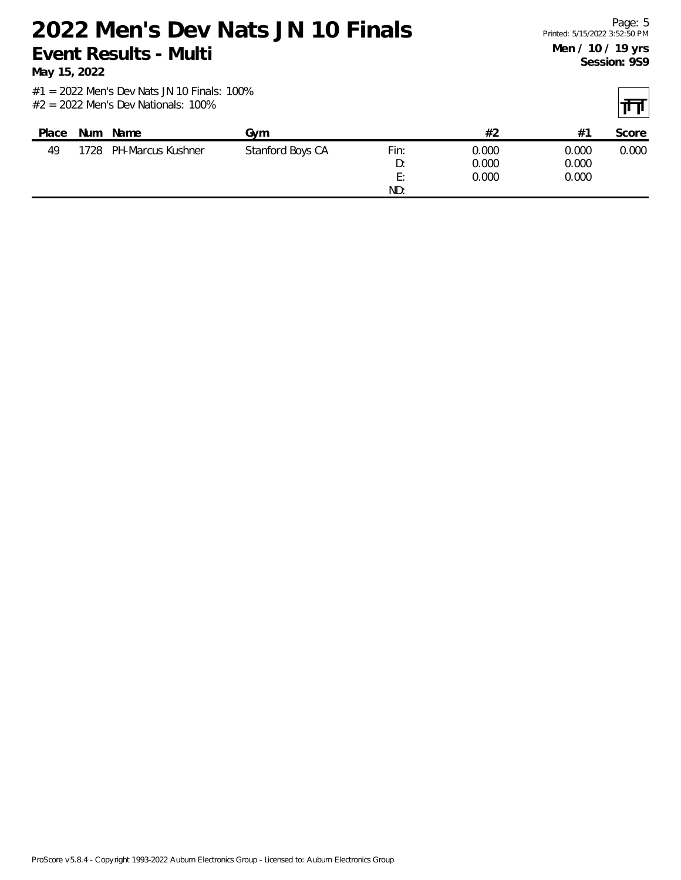**May 15, 2022**

| Place | <b>Num</b> | Name                   | Gvm              |      | #2    | $#^{\sim}$ | Score |
|-------|------------|------------------------|------------------|------|-------|------------|-------|
| 49    |            | 1728 PH-Marcus Kushner | Stanford Boys CA | Fin: | 0.000 | 0.000      | 0.000 |
|       |            |                        |                  | D:   | 0.000 | 0.000      |       |
|       |            |                        |                  | E:   | 0.000 | 0.000      |       |
|       |            |                        |                  | ND:  |       |            |       |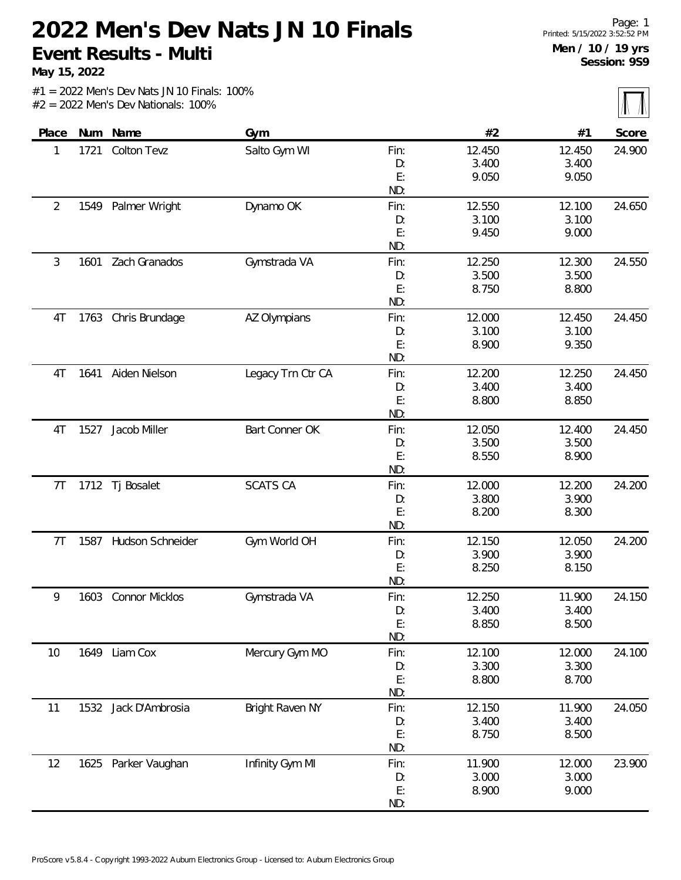**May 15, 2022**

 $\overline{\mathbb{M}}$ 

|                |      |                       |                   |      |        |        | $\mathbf{u}$ $\mathbf{u}$ |
|----------------|------|-----------------------|-------------------|------|--------|--------|---------------------------|
| Place          |      | Num Name              | Gym               |      | #2     | #1     | Score                     |
| 1              | 1721 | Colton Tevz           | Salto Gym WI      | Fin: | 12.450 | 12.450 | 24.900                    |
|                |      |                       |                   | D:   | 3.400  | 3.400  |                           |
|                |      |                       |                   | E:   | 9.050  | 9.050  |                           |
|                |      |                       |                   | ND:  |        |        |                           |
| $\overline{2}$ | 1549 | Palmer Wright         | Dynamo OK         | Fin: | 12.550 | 12.100 | 24.650                    |
|                |      |                       |                   | D:   | 3.100  | 3.100  |                           |
|                |      |                       |                   | E:   | 9.450  | 9.000  |                           |
|                |      |                       |                   | ND:  |        |        |                           |
| 3              | 1601 | Zach Granados         | Gymstrada VA      | Fin: | 12.250 | 12.300 | 24.550                    |
|                |      |                       |                   | D:   | 3.500  | 3.500  |                           |
|                |      |                       |                   | E:   | 8.750  | 8.800  |                           |
|                |      |                       |                   | ND:  |        |        |                           |
| 4T             | 1763 | Chris Brundage        | AZ Olympians      | Fin: | 12.000 | 12.450 | 24.450                    |
|                |      |                       |                   | D:   | 3.100  | 3.100  |                           |
|                |      |                       |                   | E:   | 8.900  | 9.350  |                           |
|                |      |                       |                   | ND:  |        |        |                           |
| 4T             | 1641 | Aiden Nielson         | Legacy Trn Ctr CA | Fin: | 12.200 | 12.250 | 24.450                    |
|                |      |                       |                   | D:   | 3.400  | 3.400  |                           |
|                |      |                       |                   | E:   | 8.800  | 8.850  |                           |
|                |      |                       |                   | ND:  |        |        |                           |
| 4T             | 1527 | Jacob Miller          | Bart Conner OK    | Fin: | 12.050 | 12.400 | 24.450                    |
|                |      |                       |                   | D:   | 3.500  | 3.500  |                           |
|                |      |                       |                   | E:   | 8.550  | 8.900  |                           |
|                |      |                       |                   | ND:  |        |        |                           |
| 7T             |      | 1712 Tj Bosalet       | <b>SCATS CA</b>   | Fin: | 12.000 | 12.200 | 24.200                    |
|                |      |                       |                   | D:   | 3.800  | 3.900  |                           |
|                |      |                       |                   | E:   | 8.200  | 8.300  |                           |
|                |      |                       |                   | ND:  |        |        |                           |
| 7T             | 1587 | Hudson Schneider      | Gym World OH      | Fin: | 12.150 | 12.050 | 24.200                    |
|                |      |                       |                   | D:   | 3.900  | 3.900  |                           |
|                |      |                       |                   | E:   | 8.250  | 8.150  |                           |
|                |      |                       |                   | ND:  |        |        |                           |
| 9              | 1603 | <b>Connor Micklos</b> | Gymstrada VA      | Fin: | 12.250 | 11.900 | 24.150                    |
|                |      |                       |                   | D:   | 3.400  | 3.400  |                           |
|                |      |                       |                   | E:   | 8.850  | 8.500  |                           |
|                |      |                       |                   | ND:  |        |        |                           |
| 10             | 1649 | Liam Cox              | Mercury Gym MO    | Fin: | 12.100 | 12.000 | 24.100                    |
|                |      |                       |                   | D:   | 3.300  | 3.300  |                           |
|                |      |                       |                   | E:   | 8.800  | 8.700  |                           |
|                |      |                       |                   | ND:  |        |        |                           |
| 11             | 1532 | Jack D'Ambrosia       | Bright Raven NY   | Fin: | 12.150 | 11.900 | 24.050                    |
|                |      |                       |                   | D:   | 3.400  | 3.400  |                           |
|                |      |                       |                   | E:   | 8.750  | 8.500  |                           |
|                |      |                       |                   | ND:  |        |        |                           |
| 12             |      | 1625 Parker Vaughan   | Infinity Gym MI   | Fin: | 11.900 | 12.000 | 23.900                    |
|                |      |                       |                   | D:   | 3.000  | 3.000  |                           |
|                |      |                       |                   | E:   | 8.900  | 9.000  |                           |
|                |      |                       |                   | ND:  |        |        |                           |
|                |      |                       |                   |      |        |        |                           |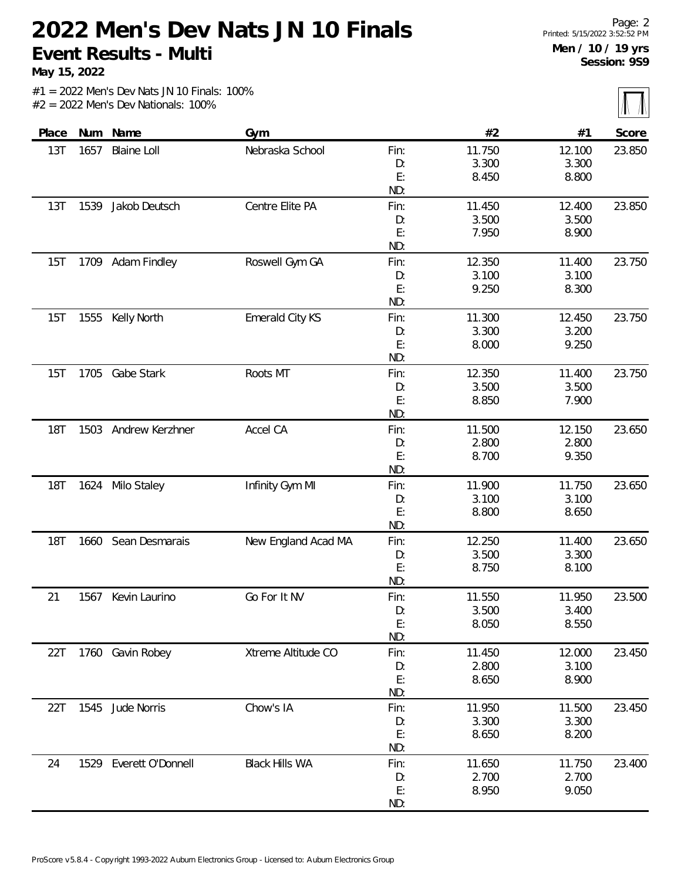**May 15, 2022**

 $\sqrt{\sqrt{2}}$ 

|            |      |                        |                       |           |        |        | $\cdots$ |
|------------|------|------------------------|-----------------------|-----------|--------|--------|----------|
| Place      | Num  | Name                   | Gym                   |           | #2     | #1     | Score    |
| 13T        | 1657 | <b>Blaine Loll</b>     | Nebraska School       | Fin:      | 11.750 | 12.100 | 23.850   |
|            |      |                        |                       | D:        | 3.300  | 3.300  |          |
|            |      |                        |                       | E:        | 8.450  | 8.800  |          |
|            |      |                        |                       | ND:       |        |        |          |
| 13T        | 1539 | Jakob Deutsch          | Centre Elite PA       | Fin:      | 11.450 | 12.400 | 23.850   |
|            |      |                        |                       | D:        | 3.500  | 3.500  |          |
|            |      |                        |                       | E:        | 7.950  | 8.900  |          |
|            |      |                        |                       | ND:       |        |        |          |
| 15T        |      | 1709 Adam Findley      | Roswell Gym GA        | Fin:      | 12.350 | 11.400 | 23.750   |
|            |      |                        |                       | D:        | 3.100  | 3.100  |          |
|            |      |                        |                       | E:        | 9.250  | 8.300  |          |
|            |      |                        |                       | ND:       |        |        |          |
| 15T        | 1555 | Kelly North            | Emerald City KS       | Fin:      | 11.300 | 12.450 | 23.750   |
|            |      |                        |                       | D:        | 3.300  | 3.200  |          |
|            |      |                        |                       | E:        | 8.000  | 9.250  |          |
|            |      |                        |                       | ND:       |        |        |          |
| 15T        |      | 1705 Gabe Stark        | Roots MT              | Fin:      | 12.350 | 11.400 | 23.750   |
|            |      |                        |                       | D:        | 3.500  | 3.500  |          |
|            |      |                        |                       | E:        | 8.850  | 7.900  |          |
|            |      |                        |                       | ND:       |        |        |          |
| <b>18T</b> | 1503 | Andrew Kerzhner        | Accel CA              | Fin:      | 11.500 | 12.150 | 23.650   |
|            |      |                        |                       | D:        | 2.800  | 2.800  |          |
|            |      |                        |                       | E:<br>ND: | 8.700  | 9.350  |          |
| <b>18T</b> |      | 1624 Milo Staley       | Infinity Gym MI       | Fin:      | 11.900 | 11.750 | 23.650   |
|            |      |                        |                       | D:        | 3.100  | 3.100  |          |
|            |      |                        |                       | E:        | 8.800  | 8.650  |          |
|            |      |                        |                       | ND:       |        |        |          |
| <b>18T</b> | 1660 | Sean Desmarais         | New England Acad MA   | Fin:      | 12.250 | 11.400 | 23.650   |
|            |      |                        |                       | D:        | 3.500  | 3.300  |          |
|            |      |                        |                       | E:        | 8.750  | 8.100  |          |
|            |      |                        |                       | ND:       |        |        |          |
| 21         | 1567 | Kevin Laurino          | Go For It NV          | Fin:      | 11.550 | 11.950 | 23.500   |
|            |      |                        |                       | D:        | 3.500  | 3.400  |          |
|            |      |                        |                       | E:        | 8.050  | 8.550  |          |
|            |      |                        |                       | ND:       |        |        |          |
| 22T        |      | 1760 Gavin Robey       | Xtreme Altitude CO    | Fin:      | 11.450 | 12.000 | 23.450   |
|            |      |                        |                       | D:        | 2.800  | 3.100  |          |
|            |      |                        |                       | E:        | 8.650  | 8.900  |          |
|            |      |                        |                       | ND:       |        |        |          |
| 22T        |      | 1545 Jude Norris       | Chow's IA             | Fin:      | 11.950 | 11.500 | 23.450   |
|            |      |                        |                       | D:        | 3.300  | 3.300  |          |
|            |      |                        |                       | E:        | 8.650  | 8.200  |          |
|            |      |                        |                       | ND:       |        |        |          |
| 24         |      | 1529 Everett O'Donnell | <b>Black Hills WA</b> | Fin:      | 11.650 | 11.750 | 23.400   |
|            |      |                        |                       | D:        | 2.700  | 2.700  |          |
|            |      |                        |                       | E:        | 8.950  | 9.050  |          |
|            |      |                        |                       | ND:       |        |        |          |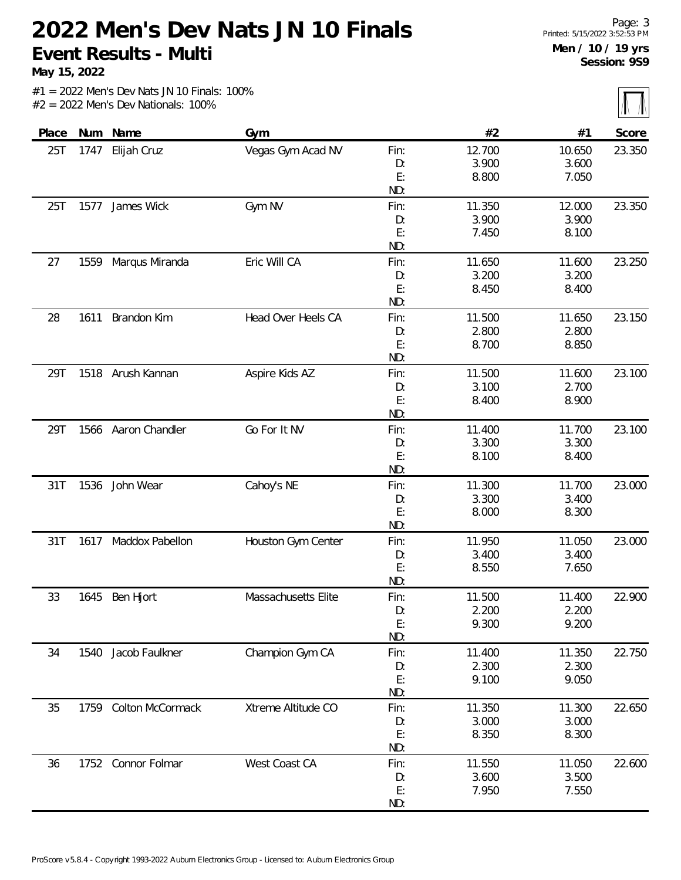**May 15, 2022**

 $\overline{\mathbb{M}}$ 

|       |      |                     |                     |      |        |        | $1 - 1 - 1 - 1$ |
|-------|------|---------------------|---------------------|------|--------|--------|-----------------|
| Place | Num  | Name                | Gym                 |      | #2     | #1     | Score           |
| 25T   | 1747 | Elijah Cruz         | Vegas Gym Acad NV   | Fin: | 12.700 | 10.650 | 23.350          |
|       |      |                     |                     | D:   | 3.900  | 3.600  |                 |
|       |      |                     |                     | E:   | 8.800  | 7.050  |                 |
|       |      |                     |                     | ND:  |        |        |                 |
| 25T   | 1577 | James Wick          | Gym NV              | Fin: | 11.350 | 12.000 | 23.350          |
|       |      |                     |                     | D:   | 3.900  | 3.900  |                 |
|       |      |                     |                     | E:   | 7.450  | 8.100  |                 |
|       |      |                     |                     | ND:  |        |        |                 |
| 27    | 1559 | Marqus Miranda      | Eric Will CA        | Fin: | 11.650 | 11.600 | 23.250          |
|       |      |                     |                     | D:   | 3.200  | 3.200  |                 |
|       |      |                     |                     | E:   | 8.450  | 8.400  |                 |
|       |      |                     |                     | ND:  |        |        |                 |
| 28    | 1611 | Brandon Kim         | Head Over Heels CA  | Fin: | 11.500 | 11.650 | 23.150          |
|       |      |                     |                     | D:   | 2.800  | 2.800  |                 |
|       |      |                     |                     | E:   | 8.700  | 8.850  |                 |
|       |      |                     |                     | ND:  |        |        |                 |
| 29T   |      | 1518 Arush Kannan   | Aspire Kids AZ      | Fin: | 11.500 | 11.600 | 23.100          |
|       |      |                     |                     | D:   | 3.100  | 2.700  |                 |
|       |      |                     |                     | E:   | 8.400  | 8.900  |                 |
|       |      |                     |                     | ND:  |        |        |                 |
| 29T   |      | 1566 Aaron Chandler | Go For It NV        | Fin: | 11.400 | 11.700 | 23.100          |
|       |      |                     |                     | D:   | 3.300  | 3.300  |                 |
|       |      |                     |                     | E:   | 8.100  | 8.400  |                 |
|       |      |                     |                     | ND:  |        |        |                 |
| 31T   | 1536 | John Wear           | Cahoy's NE          | Fin: | 11.300 | 11.700 | 23.000          |
|       |      |                     |                     | D:   | 3.300  | 3.400  |                 |
|       |      |                     |                     | E:   | 8.000  | 8.300  |                 |
|       |      |                     |                     | ND:  |        |        |                 |
| 31T   | 1617 | Maddox Pabellon     | Houston Gym Center  | Fin: | 11.950 | 11.050 | 23.000          |
|       |      |                     |                     | D:   | 3.400  | 3.400  |                 |
|       |      |                     |                     | E:   | 8.550  | 7.650  |                 |
|       |      |                     |                     | ND:  |        |        |                 |
| 33    |      | 1645 Ben Hjort      | Massachusetts Elite | Fin: | 11.500 | 11.400 | 22.900          |
|       |      |                     |                     | D:   | 2.200  | 2.200  |                 |
|       |      |                     |                     | E:   | 9.300  | 9.200  |                 |
|       |      |                     |                     | ND:  |        |        |                 |
| 34    | 1540 | Jacob Faulkner      | Champion Gym CA     | Fin: | 11.400 | 11.350 | 22.750          |
|       |      |                     |                     | D:   | 2.300  | 2.300  |                 |
|       |      |                     |                     | E:   | 9.100  | 9.050  |                 |
|       |      |                     |                     | ND:  |        |        |                 |
| 35    | 1759 | Colton McCormack    | Xtreme Altitude CO  | Fin: | 11.350 | 11.300 | 22.650          |
|       |      |                     |                     | D:   | 3.000  | 3.000  |                 |
|       |      |                     |                     | E:   | 8.350  | 8.300  |                 |
|       |      |                     |                     | ND:  |        |        |                 |
| 36    |      | 1752 Connor Folmar  | West Coast CA       | Fin: | 11.550 | 11.050 | 22.600          |
|       |      |                     |                     | D:   | 3.600  | 3.500  |                 |
|       |      |                     |                     | E:   | 7.950  | 7.550  |                 |
|       |      |                     |                     | ND:  |        |        |                 |
|       |      |                     |                     |      |        |        |                 |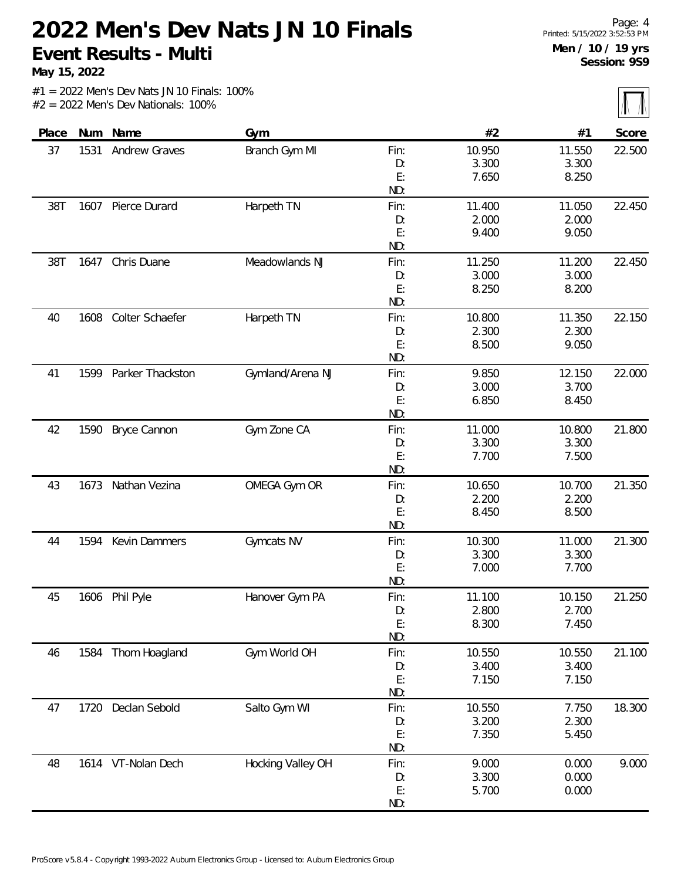**May 15, 2022**

 $\sqrt{\mathbb{1}}$ 

|  | $#1 = 2022$ Men's Dev Nats JN 10 Finals: 100% |  |  |  |
|--|-----------------------------------------------|--|--|--|
|  | $#2 = 2022$ Men's Dev Nationals: 100%         |  |  |  |

|       |      |                    |                   |            |        |        | $\sim$ $\sim$ $\sim$ |
|-------|------|--------------------|-------------------|------------|--------|--------|----------------------|
| Place | Num  | Name               | Gym               |            | #2     | #1     | Score                |
| 37    | 1531 | Andrew Graves      | Branch Gym MI     | Fin:       | 10.950 | 11.550 | 22.500               |
|       |      |                    |                   | D:         | 3.300  | 3.300  |                      |
|       |      |                    |                   | E:         | 7.650  | 8.250  |                      |
|       |      |                    |                   | ND:        |        |        |                      |
| 38T   |      | 1607 Pierce Durard | Harpeth TN        | Fin:       | 11.400 | 11.050 | 22.450               |
|       |      |                    |                   | D:         | 2.000  | 2.000  |                      |
|       |      |                    |                   | E:         | 9.400  | 9.050  |                      |
|       |      |                    |                   | ND:        |        |        |                      |
| 38T   | 1647 | Chris Duane        | Meadowlands NJ    | Fin:       | 11.250 | 11.200 | 22.450               |
|       |      |                    |                   | D:         | 3.000  | 3.000  |                      |
|       |      |                    |                   | E:         | 8.250  | 8.200  |                      |
|       |      |                    |                   | ND:        |        |        |                      |
| 40    | 1608 | Colter Schaefer    | Harpeth TN        | Fin:       | 10.800 | 11.350 | 22.150               |
|       |      |                    |                   | D:         | 2.300  | 2.300  |                      |
|       |      |                    |                   | E:         | 8.500  | 9.050  |                      |
|       |      |                    |                   | ND:        |        |        |                      |
| 41    | 1599 | Parker Thackston   | Gymland/Arena NJ  | Fin:       | 9.850  | 12.150 | 22.000               |
|       |      |                    |                   | D:         | 3.000  | 3.700  |                      |
|       |      |                    |                   | E:<br>ND:  | 6.850  | 8.450  |                      |
| 42    | 1590 | Bryce Cannon       | Gym Zone CA       | Fin:       | 11.000 | 10.800 | 21.800               |
|       |      |                    |                   | D:         | 3.300  | 3.300  |                      |
|       |      |                    |                   | E:         | 7.700  | 7.500  |                      |
|       |      |                    |                   | ND:        |        |        |                      |
| 43    | 1673 | Nathan Vezina      | OMEGA Gym OR      | Fin:       | 10.650 | 10.700 | 21.350               |
|       |      |                    |                   | D:         | 2.200  | 2.200  |                      |
|       |      |                    |                   | E:         | 8.450  | 8.500  |                      |
|       |      |                    |                   | ND:        |        |        |                      |
| 44    | 1594 | Kevin Dammers      | Gymcats NV        | Fin:       | 10.300 | 11.000 | 21.300               |
|       |      |                    |                   | D:         | 3.300  | 3.300  |                      |
|       |      |                    |                   | E:         | 7.000  | 7.700  |                      |
|       |      |                    |                   | ND:        |        |        |                      |
| 45    | 1606 | Phil Pyle          | Hanover Gym PA    | Fin:       | 11.100 | 10.150 | 21.250               |
|       |      |                    |                   | D:         | 2.800  | 2.700  |                      |
|       |      |                    |                   | E:         | 8.300  | 7.450  |                      |
|       |      |                    |                   | ND:        |        |        |                      |
| 46    |      | 1584 Thom Hoagland | Gym World OH      | Fin:       | 10.550 | 10.550 | 21.100               |
|       |      |                    |                   | D:         | 3.400  | 3.400  |                      |
|       |      |                    |                   | E:         | 7.150  | 7.150  |                      |
|       |      |                    |                   | ND:        |        |        |                      |
| 47    | 1720 | Declan Sebold      | Salto Gym WI      | Fin:       | 10.550 | 7.750  | 18.300               |
|       |      |                    |                   | D:         | 3.200  | 2.300  |                      |
|       |      |                    |                   | E:<br>ND:  | 7.350  | 5.450  |                      |
| 48    |      | 1614 VT-Nolan Dech | Hocking Valley OH |            | 9.000  | 0.000  |                      |
|       |      |                    |                   | Fin:<br>D: | 3.300  | 0.000  | 9.000                |
|       |      |                    |                   | E:         | 5.700  | 0.000  |                      |
|       |      |                    |                   | ND:        |        |        |                      |
|       |      |                    |                   |            |        |        |                      |